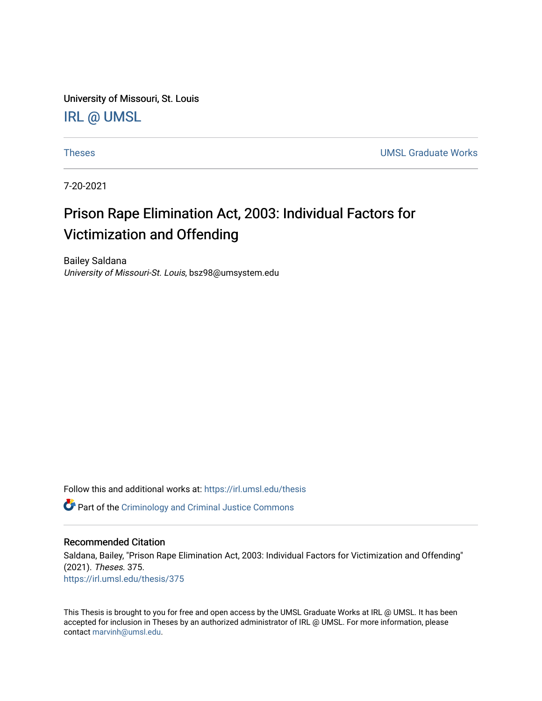University of Missouri, St. Louis [IRL @ UMSL](https://irl.umsl.edu/) 

[Theses](https://irl.umsl.edu/thesis) [UMSL Graduate Works](https://irl.umsl.edu/grad) 

7-20-2021

# Prison Rape Elimination Act, 2003: Individual Factors for Victimization and Offending

Bailey Saldana University of Missouri-St. Louis, bsz98@umsystem.edu

Follow this and additional works at: [https://irl.umsl.edu/thesis](https://irl.umsl.edu/thesis?utm_source=irl.umsl.edu%2Fthesis%2F375&utm_medium=PDF&utm_campaign=PDFCoverPages) 

**C** Part of the [Criminology and Criminal Justice Commons](https://network.bepress.com/hgg/discipline/367?utm_source=irl.umsl.edu%2Fthesis%2F375&utm_medium=PDF&utm_campaign=PDFCoverPages)

# Recommended Citation

Saldana, Bailey, "Prison Rape Elimination Act, 2003: Individual Factors for Victimization and Offending" (2021). Theses. 375. [https://irl.umsl.edu/thesis/375](https://irl.umsl.edu/thesis/375?utm_source=irl.umsl.edu%2Fthesis%2F375&utm_medium=PDF&utm_campaign=PDFCoverPages) 

This Thesis is brought to you for free and open access by the UMSL Graduate Works at IRL @ UMSL. It has been accepted for inclusion in Theses by an authorized administrator of IRL @ UMSL. For more information, please contact [marvinh@umsl.edu.](mailto:marvinh@umsl.edu)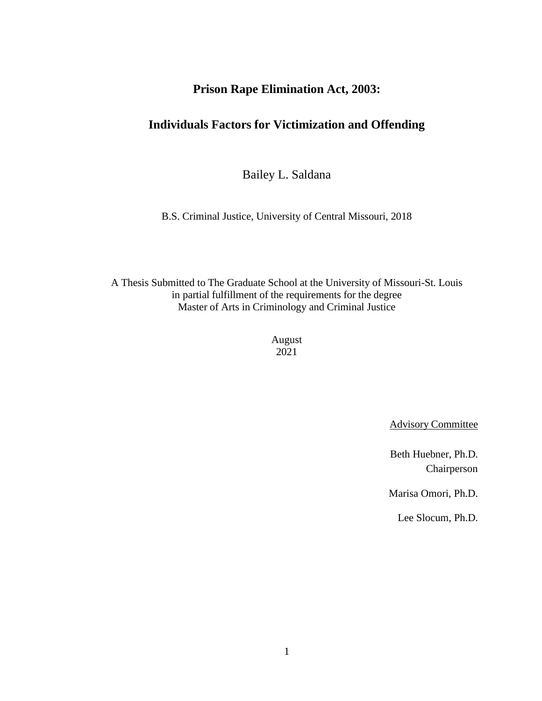# **Prison Rape Elimination Act, 2003:**

# **Individuals Factors for Victimization and Offending**

Bailey L. Saldana

B.S. Criminal Justice, University of Central Missouri, 2018

A Thesis Submitted to The Graduate School at the University of Missouri-St. Louis in partial fulfillment of the requirements for the degree Master of Arts in Criminology and Criminal Justice

> August 2021

> > Advisory Committee

Beth Huebner, Ph.D. Chairperson

Marisa Omori, Ph.D.

Lee Slocum, Ph.D.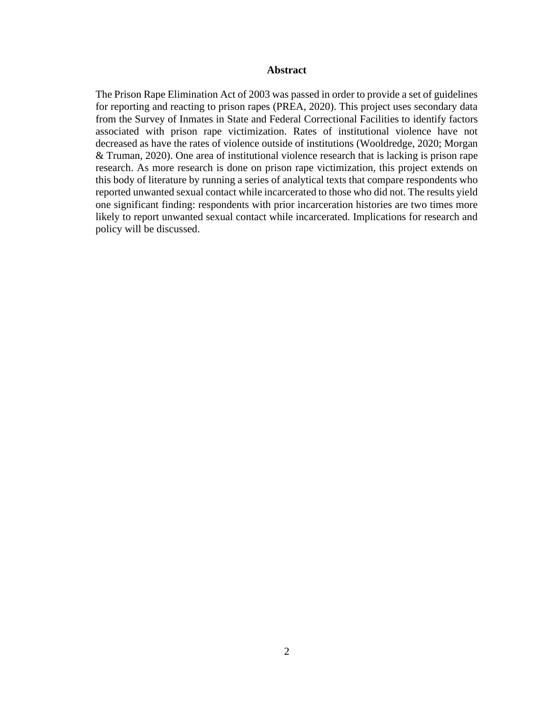# **Abstract**

The Prison Rape Elimination Act of 2003 was passed in order to provide a set of guidelines for reporting and reacting to prison rapes (PREA, 2020). This project uses secondary data from the Survey of Inmates in State and Federal Correctional Facilities to identify factors associated with prison rape victimization. Rates of institutional violence have not decreased as have the rates of violence outside of institutions (Wooldredge, 2020; Morgan & Truman, 2020). One area of institutional violence research that is lacking is prison rape research. As more research is done on prison rape victimization, this project extends on this body of literature by running a series of analytical texts that compare respondents who reported unwanted sexual contact while incarcerated to those who did not. The results yield one significant finding: respondents with prior incarceration histories are two times more likely to report unwanted sexual contact while incarcerated. Implications for research and policy will be discussed.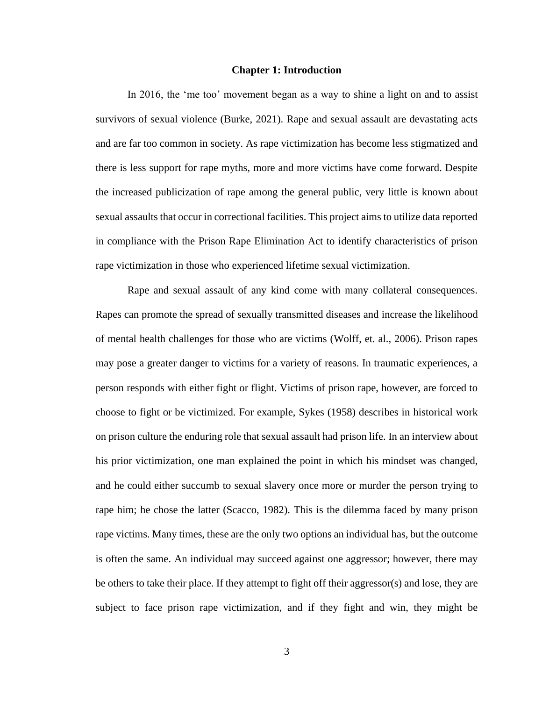#### **Chapter 1: Introduction**

In 2016, the 'me too' movement began as a way to shine a light on and to assist survivors of sexual violence (Burke, 2021). Rape and sexual assault are devastating acts and are far too common in society. As rape victimization has become less stigmatized and there is less support for rape myths, more and more victims have come forward. Despite the increased publicization of rape among the general public, very little is known about sexual assaults that occur in correctional facilities. This project aims to utilize data reported in compliance with the Prison Rape Elimination Act to identify characteristics of prison rape victimization in those who experienced lifetime sexual victimization.

Rape and sexual assault of any kind come with many collateral consequences. Rapes can promote the spread of sexually transmitted diseases and increase the likelihood of mental health challenges for those who are victims (Wolff, et. al., 2006). Prison rapes may pose a greater danger to victims for a variety of reasons. In traumatic experiences, a person responds with either fight or flight. Victims of prison rape, however, are forced to choose to fight or be victimized. For example, Sykes (1958) describes in historical work on prison culture the enduring role that sexual assault had prison life. In an interview about his prior victimization, one man explained the point in which his mindset was changed, and he could either succumb to sexual slavery once more or murder the person trying to rape him; he chose the latter (Scacco, 1982). This is the dilemma faced by many prison rape victims. Many times, these are the only two options an individual has, but the outcome is often the same. An individual may succeed against one aggressor; however, there may be others to take their place. If they attempt to fight off their aggressor(s) and lose, they are subject to face prison rape victimization, and if they fight and win, they might be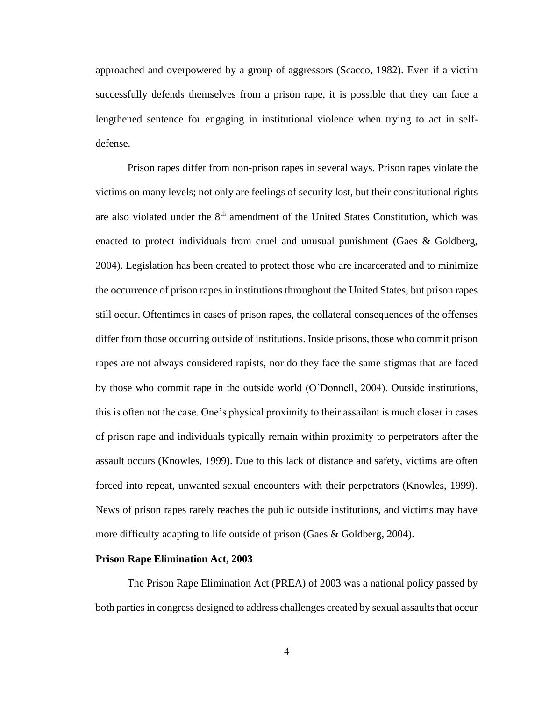approached and overpowered by a group of aggressors (Scacco, 1982). Even if a victim successfully defends themselves from a prison rape, it is possible that they can face a lengthened sentence for engaging in institutional violence when trying to act in selfdefense.

Prison rapes differ from non-prison rapes in several ways. Prison rapes violate the victims on many levels; not only are feelings of security lost, but their constitutional rights are also violated under the  $8<sup>th</sup>$  amendment of the United States Constitution, which was enacted to protect individuals from cruel and unusual punishment (Gaes & Goldberg, 2004). Legislation has been created to protect those who are incarcerated and to minimize the occurrence of prison rapes in institutions throughout the United States, but prison rapes still occur. Oftentimes in cases of prison rapes, the collateral consequences of the offenses differ from those occurring outside of institutions. Inside prisons, those who commit prison rapes are not always considered rapists, nor do they face the same stigmas that are faced by those who commit rape in the outside world (O'Donnell, 2004). Outside institutions, this is often not the case. One's physical proximity to their assailant is much closer in cases of prison rape and individuals typically remain within proximity to perpetrators after the assault occurs (Knowles, 1999). Due to this lack of distance and safety, victims are often forced into repeat, unwanted sexual encounters with their perpetrators (Knowles, 1999). News of prison rapes rarely reaches the public outside institutions, and victims may have more difficulty adapting to life outside of prison (Gaes & Goldberg, 2004).

#### **Prison Rape Elimination Act, 2003**

The Prison Rape Elimination Act (PREA) of 2003 was a national policy passed by both parties in congress designed to address challenges created by sexual assaults that occur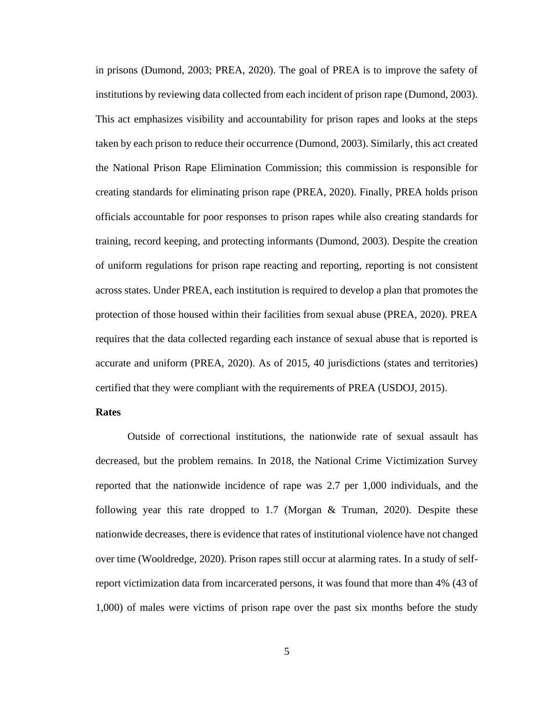in prisons (Dumond, 2003; PREA, 2020). The goal of PREA is to improve the safety of institutions by reviewing data collected from each incident of prison rape (Dumond, 2003). This act emphasizes visibility and accountability for prison rapes and looks at the steps taken by each prison to reduce their occurrence (Dumond, 2003). Similarly, this act created the National Prison Rape Elimination Commission; this commission is responsible for creating standards for eliminating prison rape (PREA, 2020). Finally, PREA holds prison officials accountable for poor responses to prison rapes while also creating standards for training, record keeping, and protecting informants (Dumond, 2003). Despite the creation of uniform regulations for prison rape reacting and reporting, reporting is not consistent across states. Under PREA, each institution is required to develop a plan that promotes the protection of those housed within their facilities from sexual abuse (PREA, 2020). PREA requires that the data collected regarding each instance of sexual abuse that is reported is accurate and uniform (PREA, 2020). As of 2015, 40 jurisdictions (states and territories) certified that they were compliant with the requirements of PREA (USDOJ, 2015).

# **Rates**

Outside of correctional institutions, the nationwide rate of sexual assault has decreased, but the problem remains. In 2018, the National Crime Victimization Survey reported that the nationwide incidence of rape was 2.7 per 1,000 individuals, and the following year this rate dropped to 1.7 (Morgan & Truman, 2020). Despite these nationwide decreases, there is evidence that rates of institutional violence have not changed over time (Wooldredge, 2020). Prison rapes still occur at alarming rates. In a study of selfreport victimization data from incarcerated persons, it was found that more than 4% (43 of 1,000) of males were victims of prison rape over the past six months before the study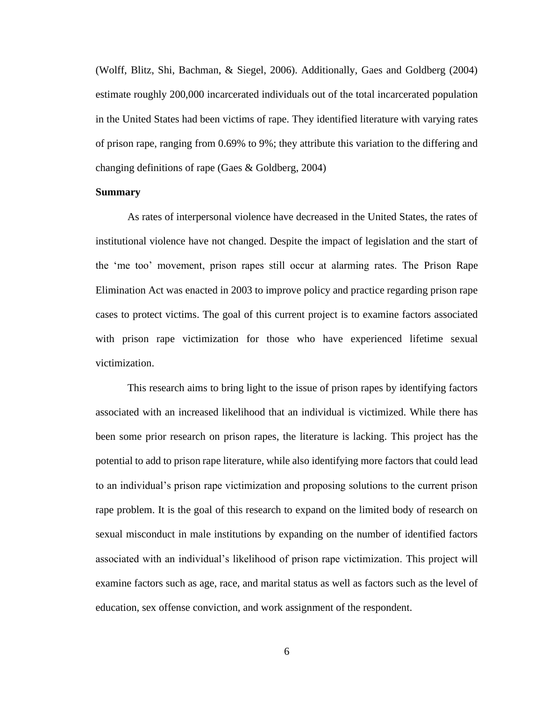(Wolff, Blitz, Shi, Bachman, & Siegel, 2006). Additionally, Gaes and Goldberg (2004) estimate roughly 200,000 incarcerated individuals out of the total incarcerated population in the United States had been victims of rape. They identified literature with varying rates of prison rape, ranging from 0.69% to 9%; they attribute this variation to the differing and changing definitions of rape (Gaes & Goldberg, 2004)

# **Summary**

As rates of interpersonal violence have decreased in the United States, the rates of institutional violence have not changed. Despite the impact of legislation and the start of the 'me too' movement, prison rapes still occur at alarming rates. The Prison Rape Elimination Act was enacted in 2003 to improve policy and practice regarding prison rape cases to protect victims. The goal of this current project is to examine factors associated with prison rape victimization for those who have experienced lifetime sexual victimization.

This research aims to bring light to the issue of prison rapes by identifying factors associated with an increased likelihood that an individual is victimized. While there has been some prior research on prison rapes, the literature is lacking. This project has the potential to add to prison rape literature, while also identifying more factors that could lead to an individual's prison rape victimization and proposing solutions to the current prison rape problem. It is the goal of this research to expand on the limited body of research on sexual misconduct in male institutions by expanding on the number of identified factors associated with an individual's likelihood of prison rape victimization. This project will examine factors such as age, race, and marital status as well as factors such as the level of education, sex offense conviction, and work assignment of the respondent.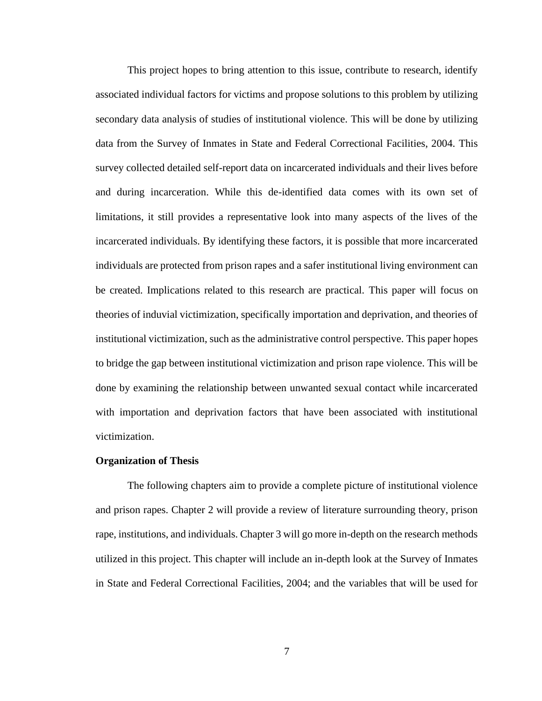This project hopes to bring attention to this issue, contribute to research, identify associated individual factors for victims and propose solutions to this problem by utilizing secondary data analysis of studies of institutional violence. This will be done by utilizing data from the Survey of Inmates in State and Federal Correctional Facilities, 2004. This survey collected detailed self-report data on incarcerated individuals and their lives before and during incarceration. While this de-identified data comes with its own set of limitations, it still provides a representative look into many aspects of the lives of the incarcerated individuals. By identifying these factors, it is possible that more incarcerated individuals are protected from prison rapes and a safer institutional living environment can be created. Implications related to this research are practical. This paper will focus on theories of induvial victimization, specifically importation and deprivation, and theories of institutional victimization, such as the administrative control perspective. This paper hopes to bridge the gap between institutional victimization and prison rape violence. This will be done by examining the relationship between unwanted sexual contact while incarcerated with importation and deprivation factors that have been associated with institutional victimization.

#### **Organization of Thesis**

The following chapters aim to provide a complete picture of institutional violence and prison rapes. Chapter 2 will provide a review of literature surrounding theory, prison rape, institutions, and individuals. Chapter 3 will go more in-depth on the research methods utilized in this project. This chapter will include an in-depth look at the Survey of Inmates in State and Federal Correctional Facilities, 2004; and the variables that will be used for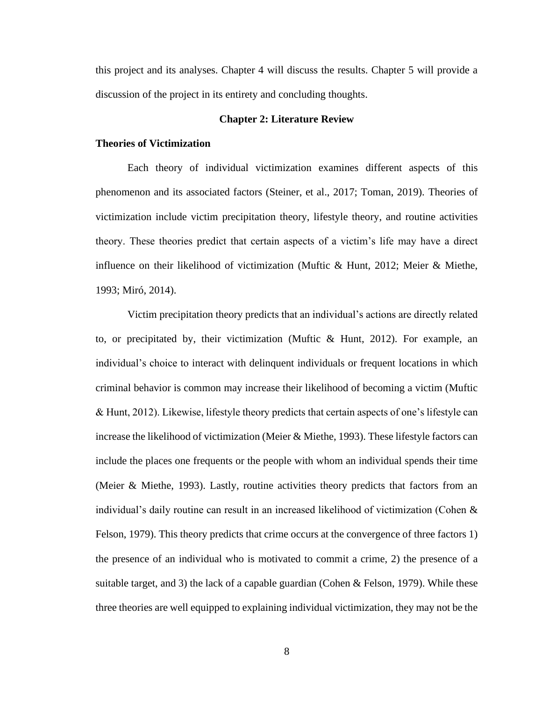this project and its analyses. Chapter 4 will discuss the results. Chapter 5 will provide a discussion of the project in its entirety and concluding thoughts.

#### **Chapter 2: Literature Review**

### **Theories of Victimization**

Each theory of individual victimization examines different aspects of this phenomenon and its associated factors (Steiner, et al., 2017; Toman, 2019). Theories of victimization include victim precipitation theory, lifestyle theory, and routine activities theory. These theories predict that certain aspects of a victim's life may have a direct influence on their likelihood of victimization (Muftic & Hunt, 2012; Meier & Miethe, 1993; Miró, 2014).

Victim precipitation theory predicts that an individual's actions are directly related to, or precipitated by, their victimization (Muftic & Hunt, 2012). For example, an individual's choice to interact with delinquent individuals or frequent locations in which criminal behavior is common may increase their likelihood of becoming a victim (Muftic & Hunt, 2012). Likewise, lifestyle theory predicts that certain aspects of one's lifestyle can increase the likelihood of victimization (Meier & Miethe, 1993). These lifestyle factors can include the places one frequents or the people with whom an individual spends their time (Meier & Miethe, 1993). Lastly, routine activities theory predicts that factors from an individual's daily routine can result in an increased likelihood of victimization (Cohen & Felson, 1979). This theory predicts that crime occurs at the convergence of three factors 1) the presence of an individual who is motivated to commit a crime, 2) the presence of a suitable target, and 3) the lack of a capable guardian (Cohen & Felson, 1979). While these three theories are well equipped to explaining individual victimization, they may not be the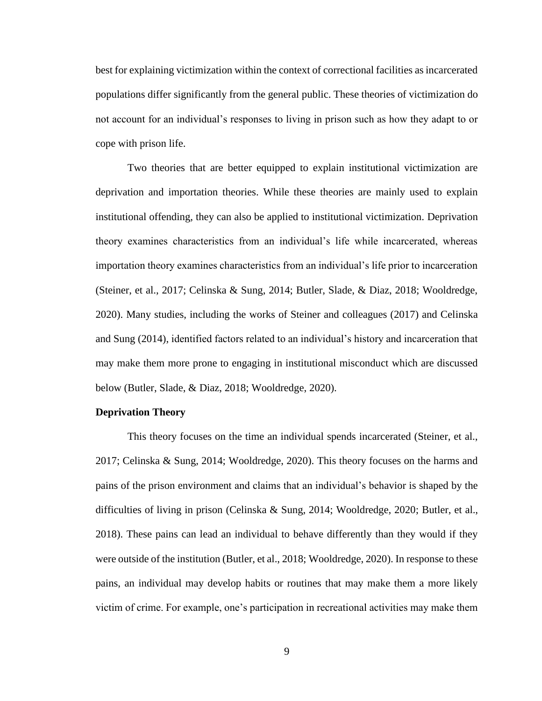best for explaining victimization within the context of correctional facilities as incarcerated populations differ significantly from the general public. These theories of victimization do not account for an individual's responses to living in prison such as how they adapt to or cope with prison life.

Two theories that are better equipped to explain institutional victimization are deprivation and importation theories. While these theories are mainly used to explain institutional offending, they can also be applied to institutional victimization. Deprivation theory examines characteristics from an individual's life while incarcerated, whereas importation theory examines characteristics from an individual's life prior to incarceration (Steiner, et al., 2017; Celinska & Sung, 2014; Butler, Slade, & Diaz, 2018; Wooldredge, 2020). Many studies, including the works of Steiner and colleagues (2017) and Celinska and Sung (2014), identified factors related to an individual's history and incarceration that may make them more prone to engaging in institutional misconduct which are discussed below (Butler, Slade, & Diaz, 2018; Wooldredge, 2020).

#### **Deprivation Theory**

This theory focuses on the time an individual spends incarcerated (Steiner, et al., 2017; Celinska & Sung, 2014; Wooldredge, 2020). This theory focuses on the harms and pains of the prison environment and claims that an individual's behavior is shaped by the difficulties of living in prison (Celinska & Sung, 2014; Wooldredge, 2020; Butler, et al., 2018). These pains can lead an individual to behave differently than they would if they were outside of the institution (Butler, et al., 2018; Wooldredge, 2020). In response to these pains, an individual may develop habits or routines that may make them a more likely victim of crime. For example, one's participation in recreational activities may make them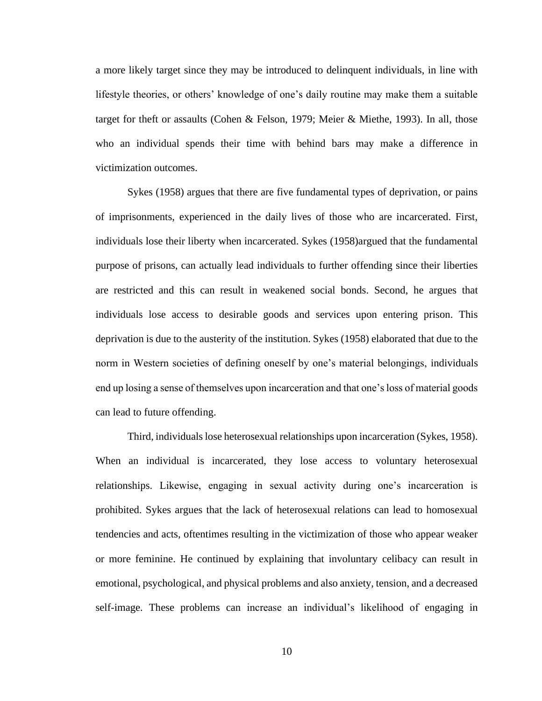a more likely target since they may be introduced to delinquent individuals, in line with lifestyle theories, or others' knowledge of one's daily routine may make them a suitable target for theft or assaults (Cohen & Felson, 1979; Meier & Miethe, 1993). In all, those who an individual spends their time with behind bars may make a difference in victimization outcomes.

Sykes (1958) argues that there are five fundamental types of deprivation, or pains of imprisonments, experienced in the daily lives of those who are incarcerated. First, individuals lose their liberty when incarcerated. Sykes (1958)argued that the fundamental purpose of prisons, can actually lead individuals to further offending since their liberties are restricted and this can result in weakened social bonds. Second, he argues that individuals lose access to desirable goods and services upon entering prison. This deprivation is due to the austerity of the institution. Sykes (1958) elaborated that due to the norm in Western societies of defining oneself by one's material belongings, individuals end up losing a sense of themselves upon incarceration and that one's loss of material goods can lead to future offending.

Third, individuals lose heterosexual relationships upon incarceration (Sykes, 1958). When an individual is incarcerated, they lose access to voluntary heterosexual relationships. Likewise, engaging in sexual activity during one's incarceration is prohibited. Sykes argues that the lack of heterosexual relations can lead to homosexual tendencies and acts, oftentimes resulting in the victimization of those who appear weaker or more feminine. He continued by explaining that involuntary celibacy can result in emotional, psychological, and physical problems and also anxiety, tension, and a decreased self-image. These problems can increase an individual's likelihood of engaging in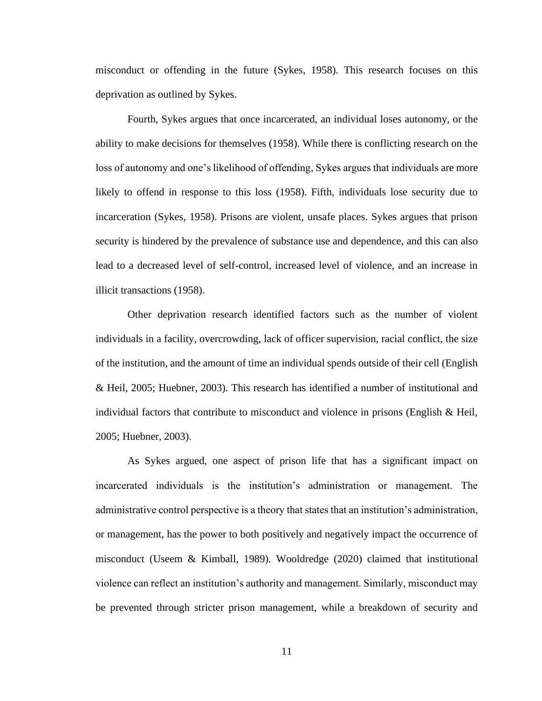misconduct or offending in the future (Sykes, 1958). This research focuses on this deprivation as outlined by Sykes.

Fourth, Sykes argues that once incarcerated, an individual loses autonomy, or the ability to make decisions for themselves (1958). While there is conflicting research on the loss of autonomy and one's likelihood of offending, Sykes argues that individuals are more likely to offend in response to this loss (1958). Fifth, individuals lose security due to incarceration (Sykes, 1958). Prisons are violent, unsafe places. Sykes argues that prison security is hindered by the prevalence of substance use and dependence, and this can also lead to a decreased level of self-control, increased level of violence, and an increase in illicit transactions (1958).

Other deprivation research identified factors such as the number of violent individuals in a facility, overcrowding, lack of officer supervision, racial conflict, the size of the institution, and the amount of time an individual spends outside of their cell (English & Heil, 2005; Huebner, 2003). This research has identified a number of institutional and individual factors that contribute to misconduct and violence in prisons (English  $\&$  Heil, 2005; Huebner, 2003).

As Sykes argued, one aspect of prison life that has a significant impact on incarcerated individuals is the institution's administration or management. The administrative control perspective is a theory that states that an institution's administration, or management, has the power to both positively and negatively impact the occurrence of misconduct (Useem & Kimball, 1989). Wooldredge (2020) claimed that institutional violence can reflect an institution's authority and management. Similarly, misconduct may be prevented through stricter prison management, while a breakdown of security and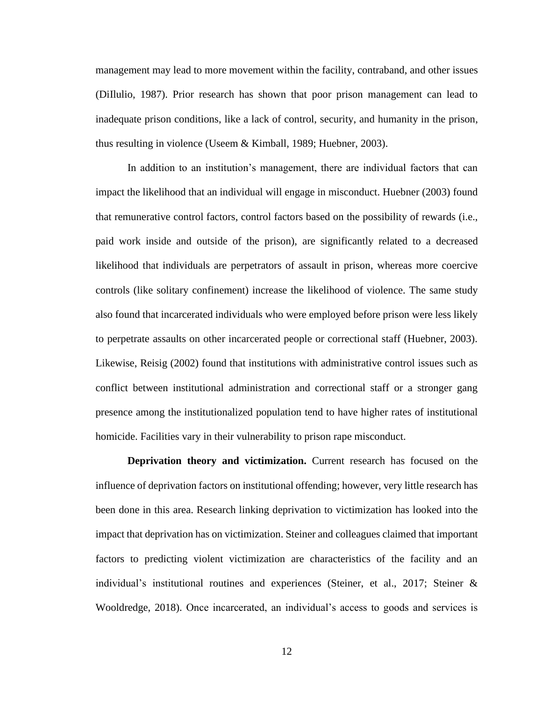management may lead to more movement within the facility, contraband, and other issues (DiIlulio, 1987). Prior research has shown that poor prison management can lead to inadequate prison conditions, like a lack of control, security, and humanity in the prison, thus resulting in violence (Useem & Kimball, 1989; Huebner, 2003).

In addition to an institution's management, there are individual factors that can impact the likelihood that an individual will engage in misconduct. Huebner (2003) found that remunerative control factors, control factors based on the possibility of rewards (i.e., paid work inside and outside of the prison), are significantly related to a decreased likelihood that individuals are perpetrators of assault in prison, whereas more coercive controls (like solitary confinement) increase the likelihood of violence. The same study also found that incarcerated individuals who were employed before prison were less likely to perpetrate assaults on other incarcerated people or correctional staff (Huebner, 2003). Likewise, Reisig (2002) found that institutions with administrative control issues such as conflict between institutional administration and correctional staff or a stronger gang presence among the institutionalized population tend to have higher rates of institutional homicide. Facilities vary in their vulnerability to prison rape misconduct.

**Deprivation theory and victimization.** Current research has focused on the influence of deprivation factors on institutional offending; however, very little research has been done in this area. Research linking deprivation to victimization has looked into the impact that deprivation has on victimization. Steiner and colleagues claimed that important factors to predicting violent victimization are characteristics of the facility and an individual's institutional routines and experiences (Steiner, et al., 2017; Steiner & Wooldredge, 2018). Once incarcerated, an individual's access to goods and services is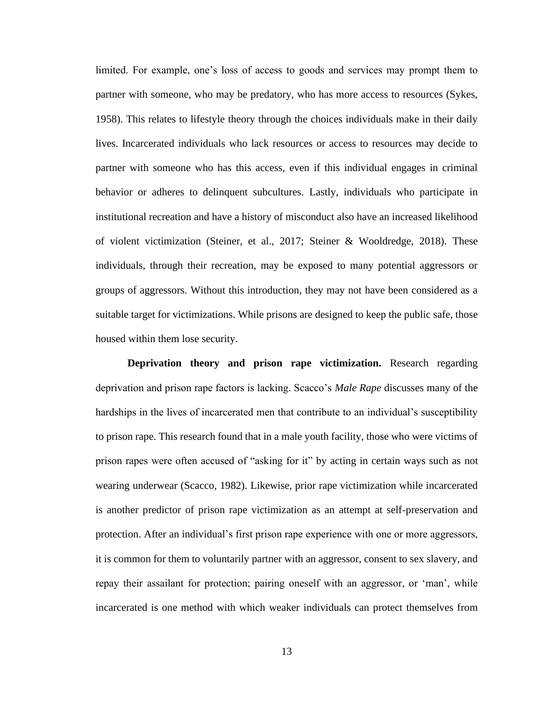limited. For example, one's loss of access to goods and services may prompt them to partner with someone, who may be predatory, who has more access to resources (Sykes, 1958). This relates to lifestyle theory through the choices individuals make in their daily lives. Incarcerated individuals who lack resources or access to resources may decide to partner with someone who has this access, even if this individual engages in criminal behavior or adheres to delinquent subcultures. Lastly, individuals who participate in institutional recreation and have a history of misconduct also have an increased likelihood of violent victimization (Steiner, et al., 2017; Steiner & Wooldredge, 2018). These individuals, through their recreation, may be exposed to many potential aggressors or groups of aggressors. Without this introduction, they may not have been considered as a suitable target for victimizations. While prisons are designed to keep the public safe, those housed within them lose security.

**Deprivation theory and prison rape victimization.** Research regarding deprivation and prison rape factors is lacking. Scacco's *Male Rape* discusses many of the hardships in the lives of incarcerated men that contribute to an individual's susceptibility to prison rape. This research found that in a male youth facility, those who were victims of prison rapes were often accused of "asking for it" by acting in certain ways such as not wearing underwear (Scacco, 1982). Likewise, prior rape victimization while incarcerated is another predictor of prison rape victimization as an attempt at self-preservation and protection. After an individual's first prison rape experience with one or more aggressors, it is common for them to voluntarily partner with an aggressor, consent to sex slavery, and repay their assailant for protection; pairing oneself with an aggressor, or 'man', while incarcerated is one method with which weaker individuals can protect themselves from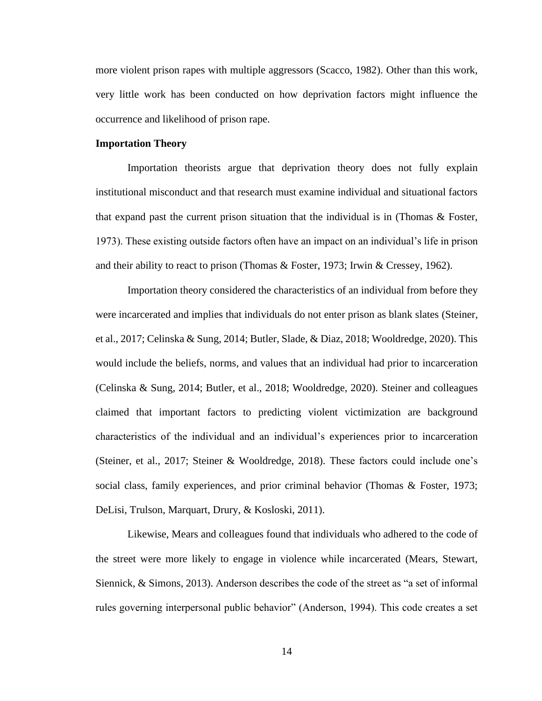more violent prison rapes with multiple aggressors (Scacco, 1982). Other than this work, very little work has been conducted on how deprivation factors might influence the occurrence and likelihood of prison rape.

#### **Importation Theory**

Importation theorists argue that deprivation theory does not fully explain institutional misconduct and that research must examine individual and situational factors that expand past the current prison situation that the individual is in (Thomas  $\&$  Foster, 1973). These existing outside factors often have an impact on an individual's life in prison and their ability to react to prison (Thomas & Foster, 1973; Irwin & Cressey, 1962).

Importation theory considered the characteristics of an individual from before they were incarcerated and implies that individuals do not enter prison as blank slates (Steiner, et al., 2017; Celinska & Sung, 2014; Butler, Slade, & Diaz, 2018; Wooldredge, 2020). This would include the beliefs, norms, and values that an individual had prior to incarceration (Celinska & Sung, 2014; Butler, et al., 2018; Wooldredge, 2020). Steiner and colleagues claimed that important factors to predicting violent victimization are background characteristics of the individual and an individual's experiences prior to incarceration (Steiner, et al., 2017; Steiner & Wooldredge, 2018). These factors could include one's social class, family experiences, and prior criminal behavior (Thomas & Foster, 1973; DeLisi, Trulson, Marquart, Drury, & Kosloski, 2011).

Likewise, Mears and colleagues found that individuals who adhered to the code of the street were more likely to engage in violence while incarcerated (Mears, Stewart, Siennick, & Simons, 2013). Anderson describes the code of the street as "a set of informal rules governing interpersonal public behavior" (Anderson, 1994). This code creates a set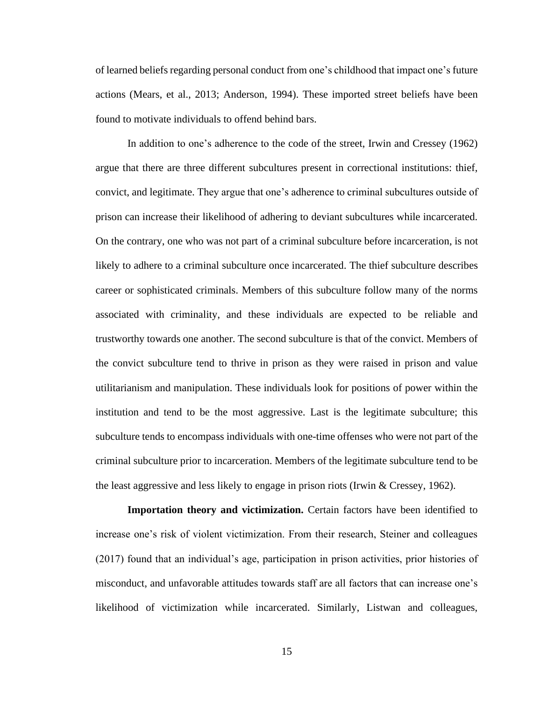of learned beliefs regarding personal conduct from one's childhood that impact one's future actions (Mears, et al., 2013; Anderson, 1994). These imported street beliefs have been found to motivate individuals to offend behind bars.

In addition to one's adherence to the code of the street, Irwin and Cressey (1962) argue that there are three different subcultures present in correctional institutions: thief, convict, and legitimate. They argue that one's adherence to criminal subcultures outside of prison can increase their likelihood of adhering to deviant subcultures while incarcerated. On the contrary, one who was not part of a criminal subculture before incarceration, is not likely to adhere to a criminal subculture once incarcerated. The thief subculture describes career or sophisticated criminals. Members of this subculture follow many of the norms associated with criminality, and these individuals are expected to be reliable and trustworthy towards one another. The second subculture is that of the convict. Members of the convict subculture tend to thrive in prison as they were raised in prison and value utilitarianism and manipulation. These individuals look for positions of power within the institution and tend to be the most aggressive. Last is the legitimate subculture; this subculture tends to encompass individuals with one-time offenses who were not part of the criminal subculture prior to incarceration. Members of the legitimate subculture tend to be the least aggressive and less likely to engage in prison riots (Irwin  $\&$  Cressey, 1962).

**Importation theory and victimization.** Certain factors have been identified to increase one's risk of violent victimization. From their research, Steiner and colleagues (2017) found that an individual's age, participation in prison activities, prior histories of misconduct, and unfavorable attitudes towards staff are all factors that can increase one's likelihood of victimization while incarcerated. Similarly, Listwan and colleagues,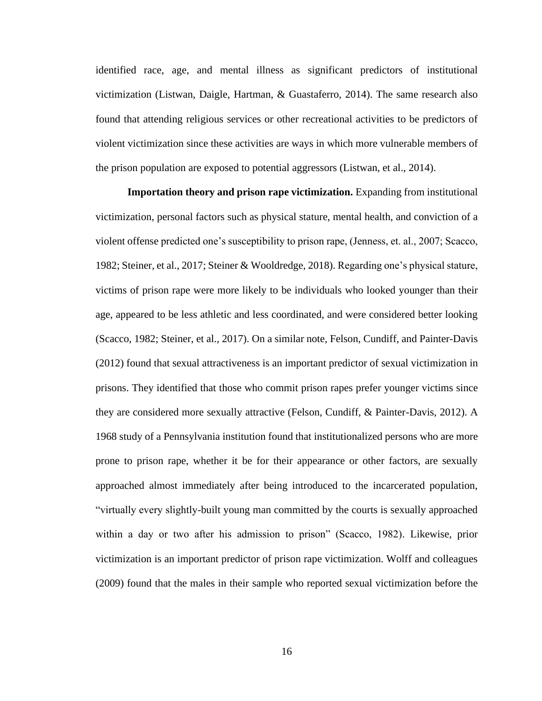identified race, age, and mental illness as significant predictors of institutional victimization (Listwan, Daigle, Hartman, & Guastaferro, 2014). The same research also found that attending religious services or other recreational activities to be predictors of violent victimization since these activities are ways in which more vulnerable members of the prison population are exposed to potential aggressors (Listwan, et al., 2014).

**Importation theory and prison rape victimization.** Expanding from institutional victimization, personal factors such as physical stature, mental health, and conviction of a violent offense predicted one's susceptibility to prison rape, (Jenness, et. al., 2007; Scacco, 1982; Steiner, et al., 2017; Steiner & Wooldredge, 2018). Regarding one's physical stature, victims of prison rape were more likely to be individuals who looked younger than their age, appeared to be less athletic and less coordinated, and were considered better looking (Scacco, 1982; Steiner, et al., 2017). On a similar note, Felson, Cundiff, and Painter-Davis (2012) found that sexual attractiveness is an important predictor of sexual victimization in prisons. They identified that those who commit prison rapes prefer younger victims since they are considered more sexually attractive (Felson, Cundiff, & Painter-Davis, 2012). A 1968 study of a Pennsylvania institution found that institutionalized persons who are more prone to prison rape, whether it be for their appearance or other factors, are sexually approached almost immediately after being introduced to the incarcerated population, "virtually every slightly-built young man committed by the courts is sexually approached within a day or two after his admission to prison" (Scacco, 1982). Likewise, prior victimization is an important predictor of prison rape victimization. Wolff and colleagues (2009) found that the males in their sample who reported sexual victimization before the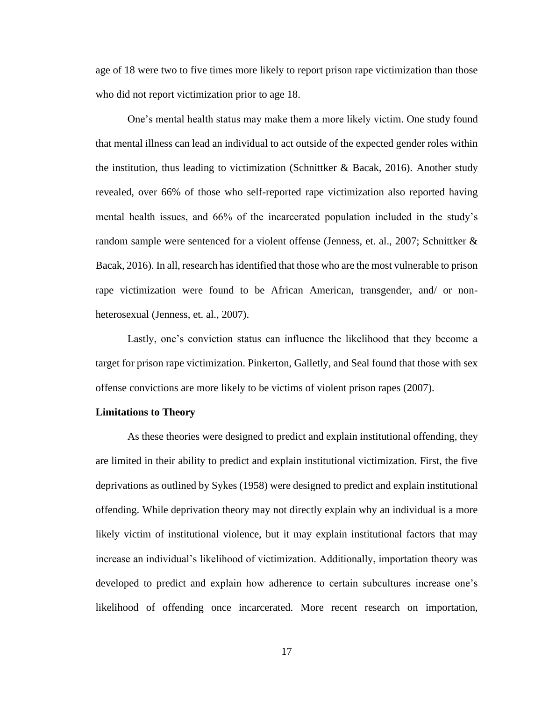age of 18 were two to five times more likely to report prison rape victimization than those who did not report victimization prior to age 18.

One's mental health status may make them a more likely victim. One study found that mental illness can lead an individual to act outside of the expected gender roles within the institution, thus leading to victimization (Schnittker & Bacak, 2016). Another study revealed, over 66% of those who self-reported rape victimization also reported having mental health issues, and 66% of the incarcerated population included in the study's random sample were sentenced for a violent offense (Jenness, et. al., 2007; Schnittker & Bacak, 2016). In all, research has identified that those who are the most vulnerable to prison rape victimization were found to be African American, transgender, and/ or nonheterosexual (Jenness, et. al., 2007).

Lastly, one's conviction status can influence the likelihood that they become a target for prison rape victimization. Pinkerton, Galletly, and Seal found that those with sex offense convictions are more likely to be victims of violent prison rapes (2007).

#### **Limitations to Theory**

As these theories were designed to predict and explain institutional offending, they are limited in their ability to predict and explain institutional victimization. First, the five deprivations as outlined by Sykes (1958) were designed to predict and explain institutional offending. While deprivation theory may not directly explain why an individual is a more likely victim of institutional violence, but it may explain institutional factors that may increase an individual's likelihood of victimization. Additionally, importation theory was developed to predict and explain how adherence to certain subcultures increase one's likelihood of offending once incarcerated. More recent research on importation,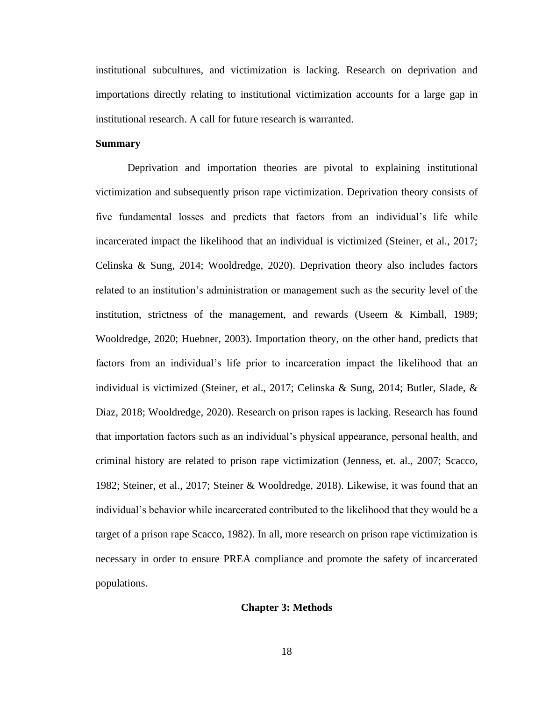institutional subcultures, and victimization is lacking. Research on deprivation and importations directly relating to institutional victimization accounts for a large gap in institutional research. A call for future research is warranted.

#### **Summary**

Deprivation and importation theories are pivotal to explaining institutional victimization and subsequently prison rape victimization. Deprivation theory consists of five fundamental losses and predicts that factors from an individual's life while incarcerated impact the likelihood that an individual is victimized (Steiner, et al., 2017; Celinska & Sung, 2014; Wooldredge, 2020). Deprivation theory also includes factors related to an institution's administration or management such as the security level of the institution, strictness of the management, and rewards (Useem & Kimball, 1989; Wooldredge, 2020; Huebner, 2003). Importation theory, on the other hand, predicts that factors from an individual's life prior to incarceration impact the likelihood that an individual is victimized (Steiner, et al., 2017; Celinska & Sung, 2014; Butler, Slade, & Diaz, 2018; Wooldredge, 2020). Research on prison rapes is lacking. Research has found that importation factors such as an individual's physical appearance, personal health, and criminal history are related to prison rape victimization (Jenness, et. al., 2007; Scacco, 1982; Steiner, et al., 2017; Steiner & Wooldredge, 2018). Likewise, it was found that an individual's behavior while incarcerated contributed to the likelihood that they would be a target of a prison rape Scacco, 1982). In all, more research on prison rape victimization is necessary in order to ensure PREA compliance and promote the safety of incarcerated populations.

### **Chapter 3: Methods**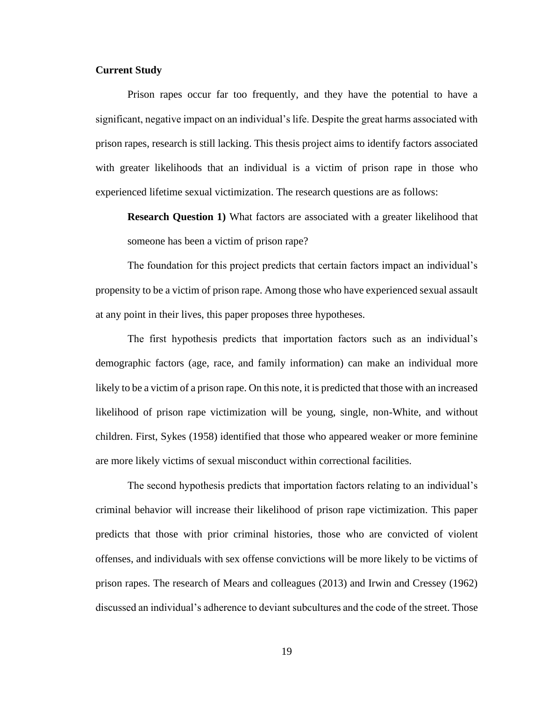# **Current Study**

Prison rapes occur far too frequently, and they have the potential to have a significant, negative impact on an individual's life. Despite the great harms associated with prison rapes, research is still lacking. This thesis project aims to identify factors associated with greater likelihoods that an individual is a victim of prison rape in those who experienced lifetime sexual victimization. The research questions are as follows:

**Research Question 1)** What factors are associated with a greater likelihood that someone has been a victim of prison rape?

The foundation for this project predicts that certain factors impact an individual's propensity to be a victim of prison rape. Among those who have experienced sexual assault at any point in their lives, this paper proposes three hypotheses.

The first hypothesis predicts that importation factors such as an individual's demographic factors (age, race, and family information) can make an individual more likely to be a victim of a prison rape. On this note, it is predicted that those with an increased likelihood of prison rape victimization will be young, single, non-White, and without children. First, Sykes (1958) identified that those who appeared weaker or more feminine are more likely victims of sexual misconduct within correctional facilities.

The second hypothesis predicts that importation factors relating to an individual's criminal behavior will increase their likelihood of prison rape victimization. This paper predicts that those with prior criminal histories, those who are convicted of violent offenses, and individuals with sex offense convictions will be more likely to be victims of prison rapes. The research of Mears and colleagues (2013) and Irwin and Cressey (1962) discussed an individual's adherence to deviant subcultures and the code of the street. Those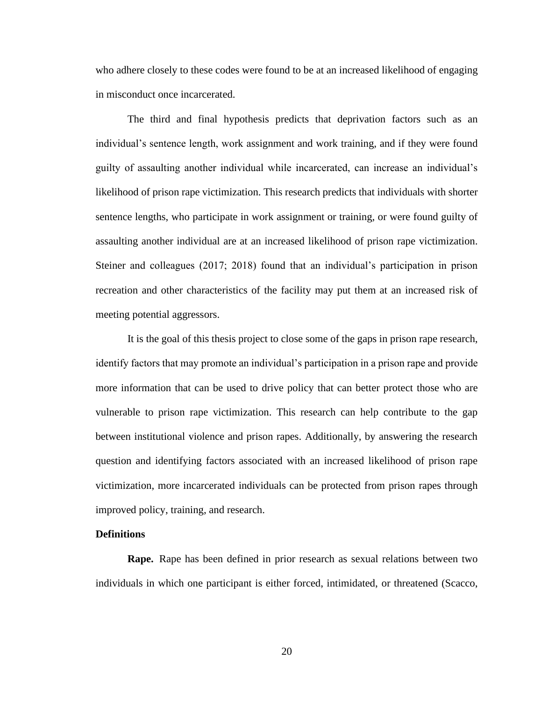who adhere closely to these codes were found to be at an increased likelihood of engaging in misconduct once incarcerated.

The third and final hypothesis predicts that deprivation factors such as an individual's sentence length, work assignment and work training, and if they were found guilty of assaulting another individual while incarcerated, can increase an individual's likelihood of prison rape victimization. This research predicts that individuals with shorter sentence lengths, who participate in work assignment or training, or were found guilty of assaulting another individual are at an increased likelihood of prison rape victimization. Steiner and colleagues (2017; 2018) found that an individual's participation in prison recreation and other characteristics of the facility may put them at an increased risk of meeting potential aggressors.

It is the goal of this thesis project to close some of the gaps in prison rape research, identify factors that may promote an individual's participation in a prison rape and provide more information that can be used to drive policy that can better protect those who are vulnerable to prison rape victimization. This research can help contribute to the gap between institutional violence and prison rapes. Additionally, by answering the research question and identifying factors associated with an increased likelihood of prison rape victimization, more incarcerated individuals can be protected from prison rapes through improved policy, training, and research.

# **Definitions**

**Rape.** Rape has been defined in prior research as sexual relations between two individuals in which one participant is either forced, intimidated, or threatened (Scacco,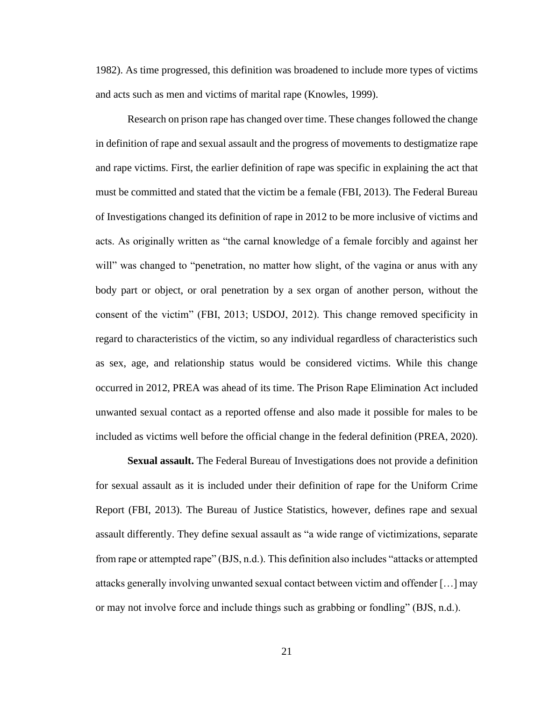1982). As time progressed, this definition was broadened to include more types of victims and acts such as men and victims of marital rape (Knowles, 1999).

Research on prison rape has changed over time. These changes followed the change in definition of rape and sexual assault and the progress of movements to destigmatize rape and rape victims. First, the earlier definition of rape was specific in explaining the act that must be committed and stated that the victim be a female (FBI, 2013). The Federal Bureau of Investigations changed its definition of rape in 2012 to be more inclusive of victims and acts. As originally written as "the carnal knowledge of a female forcibly and against her will" was changed to "penetration, no matter how slight, of the vagina or anus with any body part or object, or oral penetration by a sex organ of another person, without the consent of the victim" (FBI, 2013; USDOJ, 2012). This change removed specificity in regard to characteristics of the victim, so any individual regardless of characteristics such as sex, age, and relationship status would be considered victims. While this change occurred in 2012, PREA was ahead of its time. The Prison Rape Elimination Act included unwanted sexual contact as a reported offense and also made it possible for males to be included as victims well before the official change in the federal definition (PREA, 2020).

**Sexual assault.** The Federal Bureau of Investigations does not provide a definition for sexual assault as it is included under their definition of rape for the Uniform Crime Report (FBI, 2013). The Bureau of Justice Statistics, however, defines rape and sexual assault differently. They define sexual assault as "a wide range of victimizations, separate from rape or attempted rape" (BJS, n.d.). This definition also includes "attacks or attempted attacks generally involving unwanted sexual contact between victim and offender […] may or may not involve force and include things such as grabbing or fondling" (BJS, n.d.).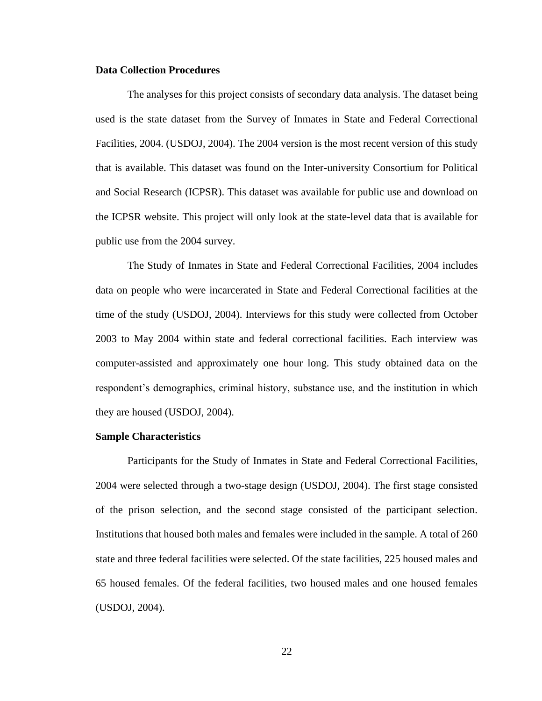# **Data Collection Procedures**

The analyses for this project consists of secondary data analysis. The dataset being used is the state dataset from the Survey of Inmates in State and Federal Correctional Facilities, 2004. (USDOJ, 2004). The 2004 version is the most recent version of this study that is available. This dataset was found on the Inter-university Consortium for Political and Social Research (ICPSR). This dataset was available for public use and download on the ICPSR website. This project will only look at the state-level data that is available for public use from the 2004 survey.

The Study of Inmates in State and Federal Correctional Facilities, 2004 includes data on people who were incarcerated in State and Federal Correctional facilities at the time of the study (USDOJ, 2004). Interviews for this study were collected from October 2003 to May 2004 within state and federal correctional facilities. Each interview was computer-assisted and approximately one hour long. This study obtained data on the respondent's demographics, criminal history, substance use, and the institution in which they are housed (USDOJ, 2004).

#### **Sample Characteristics**

Participants for the Study of Inmates in State and Federal Correctional Facilities, 2004 were selected through a two-stage design (USDOJ, 2004). The first stage consisted of the prison selection, and the second stage consisted of the participant selection. Institutions that housed both males and females were included in the sample. A total of 260 state and three federal facilities were selected. Of the state facilities, 225 housed males and 65 housed females. Of the federal facilities, two housed males and one housed females (USDOJ, 2004).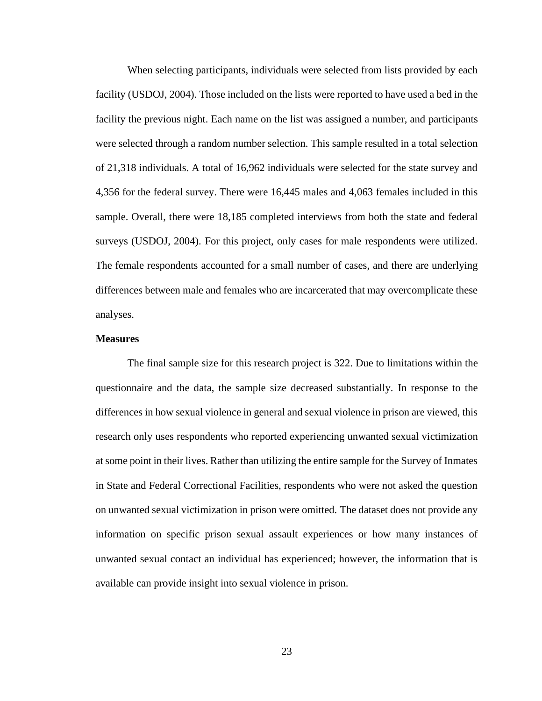When selecting participants, individuals were selected from lists provided by each facility (USDOJ, 2004). Those included on the lists were reported to have used a bed in the facility the previous night. Each name on the list was assigned a number, and participants were selected through a random number selection. This sample resulted in a total selection of 21,318 individuals. A total of 16,962 individuals were selected for the state survey and 4,356 for the federal survey. There were 16,445 males and 4,063 females included in this sample. Overall, there were 18,185 completed interviews from both the state and federal surveys (USDOJ, 2004). For this project, only cases for male respondents were utilized. The female respondents accounted for a small number of cases, and there are underlying differences between male and females who are incarcerated that may overcomplicate these analyses.

# **Measures**

The final sample size for this research project is 322. Due to limitations within the questionnaire and the data, the sample size decreased substantially. In response to the differences in how sexual violence in general and sexual violence in prison are viewed, this research only uses respondents who reported experiencing unwanted sexual victimization at some point in their lives. Rather than utilizing the entire sample for the Survey of Inmates in State and Federal Correctional Facilities, respondents who were not asked the question on unwanted sexual victimization in prison were omitted. The dataset does not provide any information on specific prison sexual assault experiences or how many instances of unwanted sexual contact an individual has experienced; however, the information that is available can provide insight into sexual violence in prison.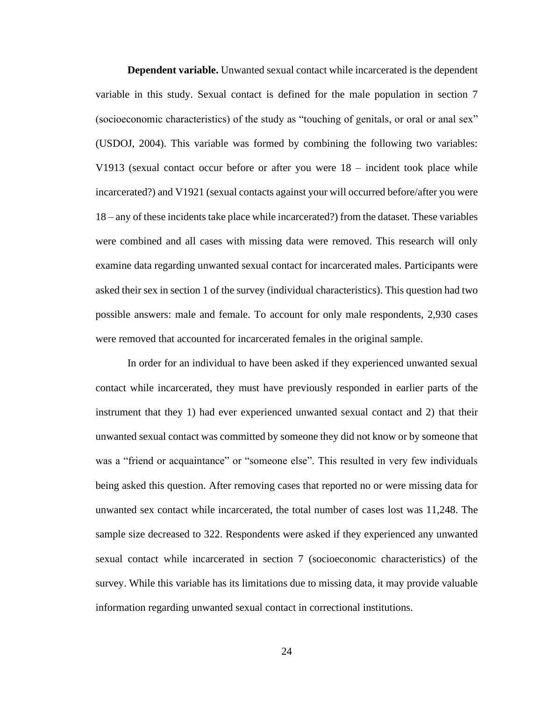**Dependent variable.** Unwanted sexual contact while incarcerated is the dependent variable in this study. Sexual contact is defined for the male population in section 7 (socioeconomic characteristics) of the study as "touching of genitals, or oral or anal sex" (USDOJ, 2004). This variable was formed by combining the following two variables: V1913 (sexual contact occur before or after you were 18 – incident took place while incarcerated?) and V1921 (sexual contacts against your will occurred before/after you were 18 – any of these incidents take place while incarcerated?) from the dataset. These variables were combined and all cases with missing data were removed. This research will only examine data regarding unwanted sexual contact for incarcerated males. Participants were asked their sex in section 1 of the survey (individual characteristics). This question had two possible answers: male and female. To account for only male respondents, 2,930 cases were removed that accounted for incarcerated females in the original sample.

In order for an individual to have been asked if they experienced unwanted sexual contact while incarcerated, they must have previously responded in earlier parts of the instrument that they 1) had ever experienced unwanted sexual contact and 2) that their unwanted sexual contact was committed by someone they did not know or by someone that was a "friend or acquaintance" or "someone else". This resulted in very few individuals being asked this question. After removing cases that reported no or were missing data for unwanted sex contact while incarcerated, the total number of cases lost was 11,248. The sample size decreased to 322. Respondents were asked if they experienced any unwanted sexual contact while incarcerated in section 7 (socioeconomic characteristics) of the survey. While this variable has its limitations due to missing data, it may provide valuable information regarding unwanted sexual contact in correctional institutions.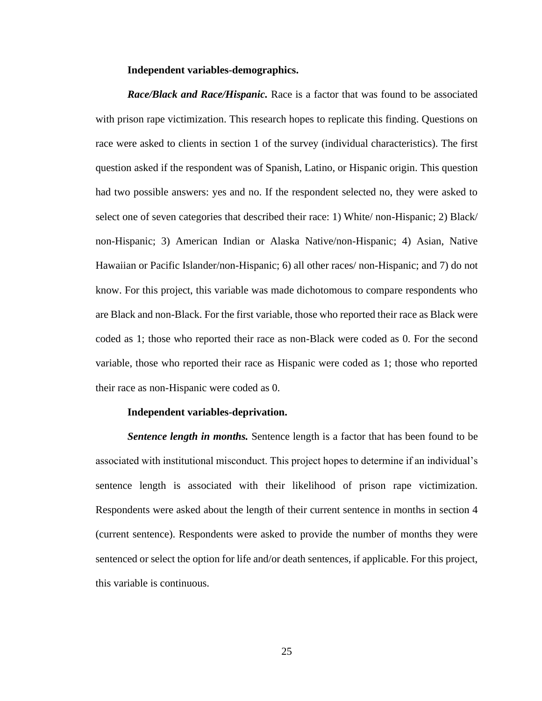#### **Independent variables-demographics.**

*Race/Black and Race/Hispanic.* Race is a factor that was found to be associated with prison rape victimization. This research hopes to replicate this finding. Questions on race were asked to clients in section 1 of the survey (individual characteristics). The first question asked if the respondent was of Spanish, Latino, or Hispanic origin. This question had two possible answers: yes and no. If the respondent selected no, they were asked to select one of seven categories that described their race: 1) White/ non-Hispanic; 2) Black/ non-Hispanic; 3) American Indian or Alaska Native/non-Hispanic; 4) Asian, Native Hawaiian or Pacific Islander/non-Hispanic; 6) all other races/ non-Hispanic; and 7) do not know. For this project, this variable was made dichotomous to compare respondents who are Black and non-Black. For the first variable, those who reported their race as Black were coded as 1; those who reported their race as non-Black were coded as 0. For the second variable, those who reported their race as Hispanic were coded as 1; those who reported their race as non-Hispanic were coded as 0.

#### **Independent variables-deprivation.**

*Sentence length in months.* Sentence length is a factor that has been found to be associated with institutional misconduct. This project hopes to determine if an individual's sentence length is associated with their likelihood of prison rape victimization. Respondents were asked about the length of their current sentence in months in section 4 (current sentence). Respondents were asked to provide the number of months they were sentenced or select the option for life and/or death sentences, if applicable. For this project, this variable is continuous.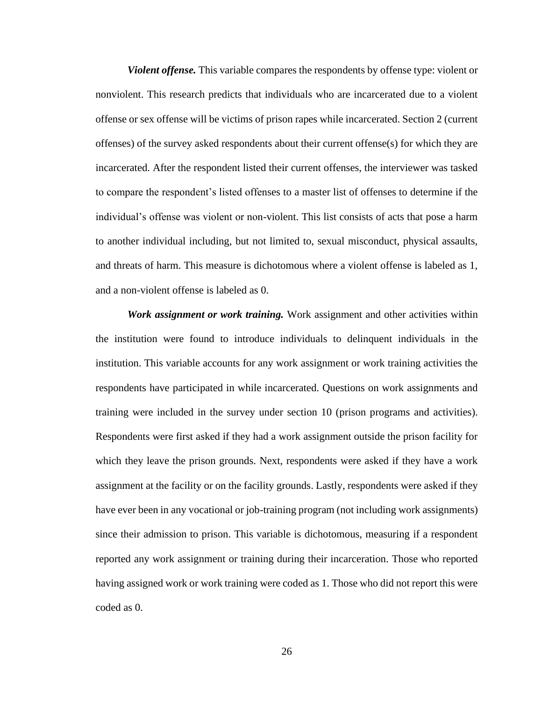*Violent offense.* This variable compares the respondents by offense type: violent or nonviolent. This research predicts that individuals who are incarcerated due to a violent offense or sex offense will be victims of prison rapes while incarcerated. Section 2 (current offenses) of the survey asked respondents about their current offense(s) for which they are incarcerated. After the respondent listed their current offenses, the interviewer was tasked to compare the respondent's listed offenses to a master list of offenses to determine if the individual's offense was violent or non-violent. This list consists of acts that pose a harm to another individual including, but not limited to, sexual misconduct, physical assaults, and threats of harm. This measure is dichotomous where a violent offense is labeled as 1, and a non-violent offense is labeled as 0.

*Work assignment or work training.* Work assignment and other activities within the institution were found to introduce individuals to delinquent individuals in the institution. This variable accounts for any work assignment or work training activities the respondents have participated in while incarcerated. Questions on work assignments and training were included in the survey under section 10 (prison programs and activities). Respondents were first asked if they had a work assignment outside the prison facility for which they leave the prison grounds. Next, respondents were asked if they have a work assignment at the facility or on the facility grounds. Lastly, respondents were asked if they have ever been in any vocational or job-training program (not including work assignments) since their admission to prison. This variable is dichotomous, measuring if a respondent reported any work assignment or training during their incarceration. Those who reported having assigned work or work training were coded as 1. Those who did not report this were coded as 0.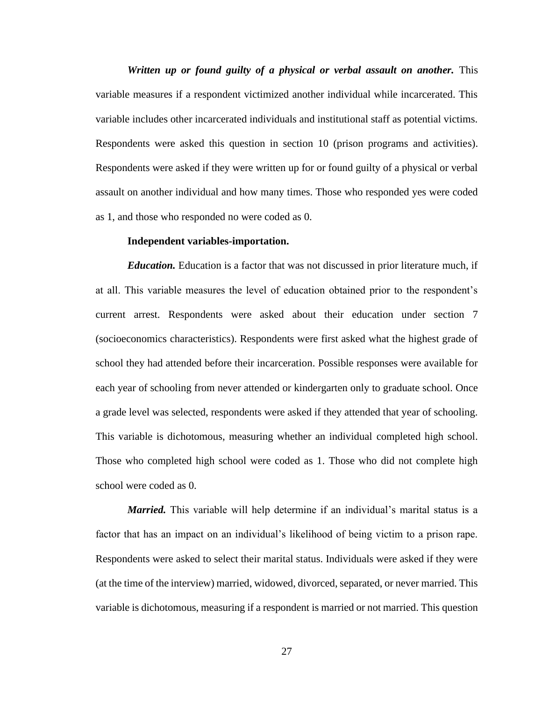*Written up or found guilty of a physical or verbal assault on another.* This variable measures if a respondent victimized another individual while incarcerated. This variable includes other incarcerated individuals and institutional staff as potential victims. Respondents were asked this question in section 10 (prison programs and activities). Respondents were asked if they were written up for or found guilty of a physical or verbal assault on another individual and how many times. Those who responded yes were coded as 1, and those who responded no were coded as 0.

# **Independent variables-importation.**

*Education.* Education is a factor that was not discussed in prior literature much, if at all. This variable measures the level of education obtained prior to the respondent's current arrest. Respondents were asked about their education under section 7 (socioeconomics characteristics). Respondents were first asked what the highest grade of school they had attended before their incarceration. Possible responses were available for each year of schooling from never attended or kindergarten only to graduate school. Once a grade level was selected, respondents were asked if they attended that year of schooling. This variable is dichotomous, measuring whether an individual completed high school. Those who completed high school were coded as 1. Those who did not complete high school were coded as 0.

*Married.* This variable will help determine if an individual's marital status is a factor that has an impact on an individual's likelihood of being victim to a prison rape. Respondents were asked to select their marital status. Individuals were asked if they were (at the time of the interview) married, widowed, divorced, separated, or never married. This variable is dichotomous, measuring if a respondent is married or not married. This question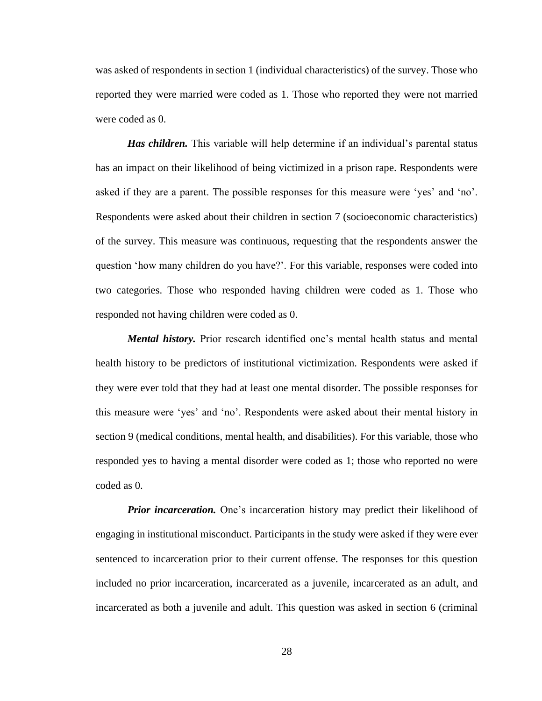was asked of respondents in section 1 (individual characteristics) of the survey. Those who reported they were married were coded as 1. Those who reported they were not married were coded as 0.

*Has children.* This variable will help determine if an individual's parental status has an impact on their likelihood of being victimized in a prison rape. Respondents were asked if they are a parent. The possible responses for this measure were 'yes' and 'no'. Respondents were asked about their children in section 7 (socioeconomic characteristics) of the survey. This measure was continuous, requesting that the respondents answer the question 'how many children do you have?'. For this variable, responses were coded into two categories. Those who responded having children were coded as 1. Those who responded not having children were coded as 0.

*Mental history.* Prior research identified one's mental health status and mental health history to be predictors of institutional victimization. Respondents were asked if they were ever told that they had at least one mental disorder. The possible responses for this measure were 'yes' and 'no'. Respondents were asked about their mental history in section 9 (medical conditions, mental health, and disabilities). For this variable, those who responded yes to having a mental disorder were coded as 1; those who reported no were coded as 0.

*Prior incarceration.* One's incarceration history may predict their likelihood of engaging in institutional misconduct. Participants in the study were asked if they were ever sentenced to incarceration prior to their current offense. The responses for this question included no prior incarceration, incarcerated as a juvenile, incarcerated as an adult, and incarcerated as both a juvenile and adult. This question was asked in section 6 (criminal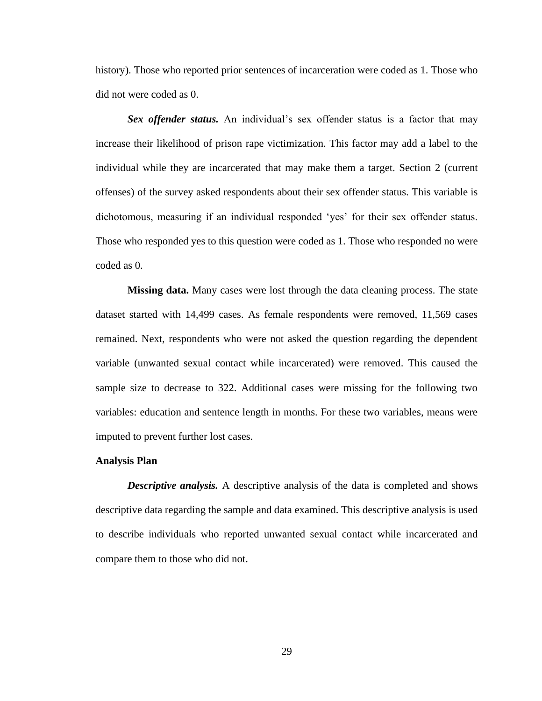history). Those who reported prior sentences of incarceration were coded as 1. Those who did not were coded as 0.

*Sex offender status.* An individual's sex offender status is a factor that may increase their likelihood of prison rape victimization. This factor may add a label to the individual while they are incarcerated that may make them a target. Section 2 (current offenses) of the survey asked respondents about their sex offender status. This variable is dichotomous, measuring if an individual responded 'yes' for their sex offender status. Those who responded yes to this question were coded as 1. Those who responded no were coded as 0.

**Missing data.** Many cases were lost through the data cleaning process. The state dataset started with 14,499 cases. As female respondents were removed, 11,569 cases remained. Next, respondents who were not asked the question regarding the dependent variable (unwanted sexual contact while incarcerated) were removed. This caused the sample size to decrease to 322. Additional cases were missing for the following two variables: education and sentence length in months. For these two variables, means were imputed to prevent further lost cases.

#### **Analysis Plan**

*Descriptive analysis.* A descriptive analysis of the data is completed and shows descriptive data regarding the sample and data examined. This descriptive analysis is used to describe individuals who reported unwanted sexual contact while incarcerated and compare them to those who did not.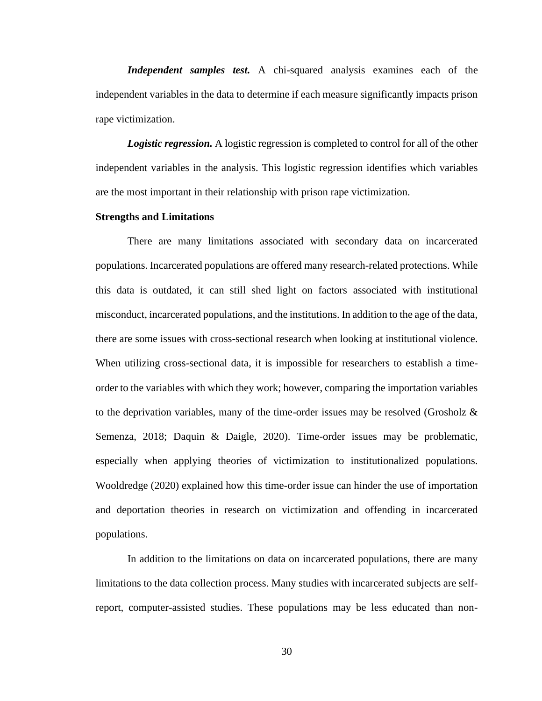*Independent samples test.* A chi-squared analysis examines each of the independent variables in the data to determine if each measure significantly impacts prison rape victimization.

*Logistic regression.* A logistic regression is completed to control for all of the other independent variables in the analysis. This logistic regression identifies which variables are the most important in their relationship with prison rape victimization.

# **Strengths and Limitations**

There are many limitations associated with secondary data on incarcerated populations. Incarcerated populations are offered many research-related protections. While this data is outdated, it can still shed light on factors associated with institutional misconduct, incarcerated populations, and the institutions. In addition to the age of the data, there are some issues with cross-sectional research when looking at institutional violence. When utilizing cross-sectional data, it is impossible for researchers to establish a timeorder to the variables with which they work; however, comparing the importation variables to the deprivation variables, many of the time-order issues may be resolved (Grosholz  $\&$ Semenza, 2018; Daquin & Daigle, 2020). Time-order issues may be problematic, especially when applying theories of victimization to institutionalized populations. Wooldredge (2020) explained how this time-order issue can hinder the use of importation and deportation theories in research on victimization and offending in incarcerated populations.

In addition to the limitations on data on incarcerated populations, there are many limitations to the data collection process. Many studies with incarcerated subjects are selfreport, computer-assisted studies. These populations may be less educated than non-

30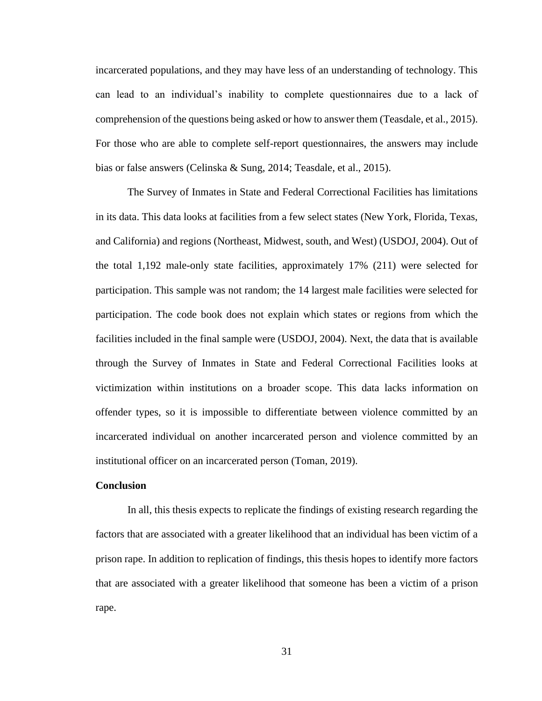incarcerated populations, and they may have less of an understanding of technology. This can lead to an individual's inability to complete questionnaires due to a lack of comprehension of the questions being asked or how to answer them (Teasdale, et al., 2015). For those who are able to complete self-report questionnaires, the answers may include bias or false answers (Celinska & Sung, 2014; Teasdale, et al., 2015).

The Survey of Inmates in State and Federal Correctional Facilities has limitations in its data. This data looks at facilities from a few select states (New York, Florida, Texas, and California) and regions (Northeast, Midwest, south, and West) (USDOJ, 2004). Out of the total 1,192 male-only state facilities, approximately 17% (211) were selected for participation. This sample was not random; the 14 largest male facilities were selected for participation. The code book does not explain which states or regions from which the facilities included in the final sample were (USDOJ, 2004). Next, the data that is available through the Survey of Inmates in State and Federal Correctional Facilities looks at victimization within institutions on a broader scope. This data lacks information on offender types, so it is impossible to differentiate between violence committed by an incarcerated individual on another incarcerated person and violence committed by an institutional officer on an incarcerated person (Toman, 2019).

# **Conclusion**

In all, this thesis expects to replicate the findings of existing research regarding the factors that are associated with a greater likelihood that an individual has been victim of a prison rape. In addition to replication of findings, this thesis hopes to identify more factors that are associated with a greater likelihood that someone has been a victim of a prison rape.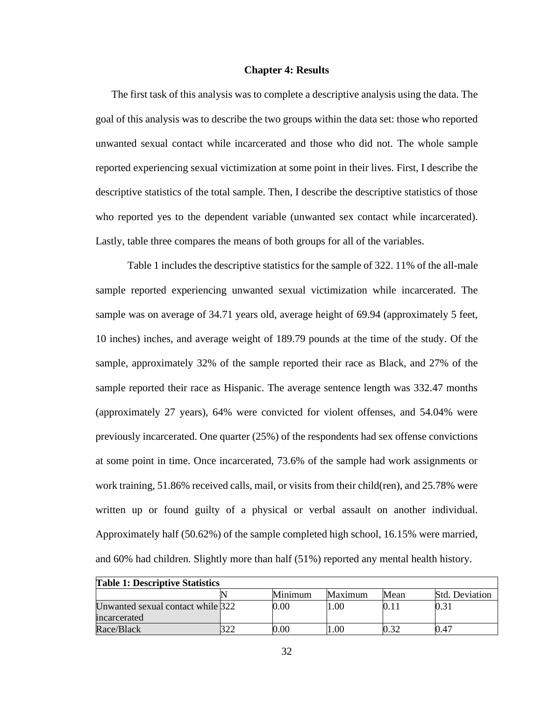#### **Chapter 4: Results**

The first task of this analysis was to complete a descriptive analysis using the data. The goal of this analysis was to describe the two groups within the data set: those who reported unwanted sexual contact while incarcerated and those who did not. The whole sample reported experiencing sexual victimization at some point in their lives. First, I describe the descriptive statistics of the total sample. Then, I describe the descriptive statistics of those who reported yes to the dependent variable (unwanted sex contact while incarcerated). Lastly, table three compares the means of both groups for all of the variables.

Table 1 includes the descriptive statistics for the sample of 322. 11% of the all-male sample reported experiencing unwanted sexual victimization while incarcerated. The sample was on average of 34.71 years old, average height of 69.94 (approximately 5 feet, 10 inches) inches, and average weight of 189.79 pounds at the time of the study. Of the sample, approximately 32% of the sample reported their race as Black, and 27% of the sample reported their race as Hispanic. The average sentence length was 332.47 months (approximately 27 years), 64% were convicted for violent offenses, and 54.04% were previously incarcerated. One quarter (25%) of the respondents had sex offense convictions at some point in time. Once incarcerated, 73.6% of the sample had work assignments or work training, 51.86% received calls, mail, or visits from their child(ren), and 25.78% were written up or found guilty of a physical or verbal assault on another individual. Approximately half (50.62%) of the sample completed high school, 16.15% were married, and 60% had children. Slightly more than half (51%) reported any mental health history.

| <b>Table 1: Descriptive Statistics</b> |  |         |         |      |                       |  |  |  |  |  |  |  |
|----------------------------------------|--|---------|---------|------|-----------------------|--|--|--|--|--|--|--|
|                                        |  | Minimum | Maximum | Mean | <b>Std. Deviation</b> |  |  |  |  |  |  |  |
| Unwanted sexual contact while 322      |  | 0.00    | 00.1    |      | 0.31                  |  |  |  |  |  |  |  |
| incarcerated                           |  |         |         |      |                       |  |  |  |  |  |  |  |
| Race/Black                             |  | 0.00    | .00.    |      | 0.47                  |  |  |  |  |  |  |  |

32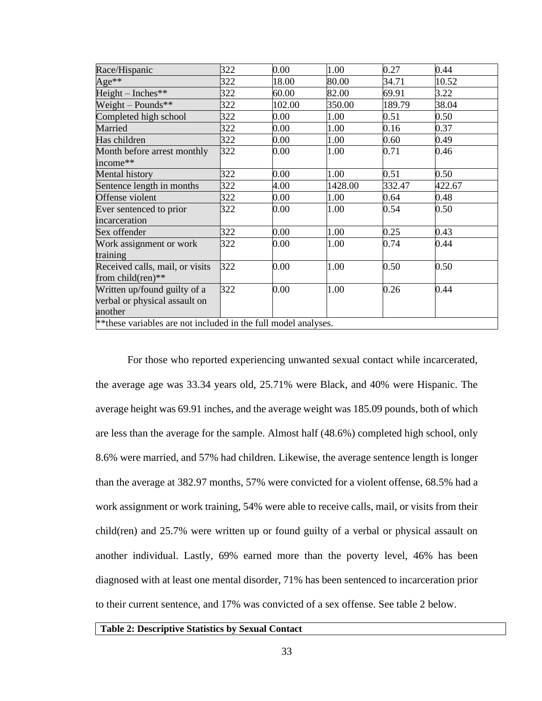| Race/Hispanic                                                   | 322 | 0.00   | 1.00    | 0.27   | 0.44   |
|-----------------------------------------------------------------|-----|--------|---------|--------|--------|
| $Age**$                                                         | 322 | 18.00  | 80.00   | 34.71  | 10.52  |
| $Height - Inches**$                                             | 322 | 60.00  | 82.00   | 69.91  | 3.22   |
| Weight – Pounds**                                               | 322 | 102.00 | 350.00  | 189.79 | 38.04  |
| Completed high school                                           | 322 | 0.00   | 1.00    | 0.51   | 0.50   |
| Married                                                         | 322 | 0.00   | 1.00    | 0.16   | 0.37   |
| Has children                                                    | 322 | 0.00   | 1.00    | 0.60   | 0.49   |
| Month before arrest monthly                                     | 322 | 0.00   | 1.00    | 0.71   | 0.46   |
| income**                                                        |     |        |         |        |        |
| Mental history                                                  | 322 | 0.00   | 1.00    | 0.51   | 0.50   |
| Sentence length in months                                       | 322 | 4.00   | 1428.00 | 332.47 | 422.67 |
| Offense violent                                                 | 322 | 0.00   | 1.00    | 0.64   | 0.48   |
| Ever sentenced to prior                                         | 322 | 0.00   | 1.00    | 0.54   | 0.50   |
| incarceration                                                   |     |        |         |        |        |
| Sex offender                                                    | 322 | 0.00   | 1.00    | 0.25   | 0.43   |
| Work assignment or work                                         | 322 | 0.00   | 1.00    | 0.74   | 0.44   |
| training                                                        |     |        |         |        |        |
| Received calls, mail, or visits                                 | 322 | 0.00   | 1.00    | 0.50   | 0.50   |
| from child $(\text{ren})^*$                                     |     |        |         |        |        |
| Written up/found guilty of a                                    | 322 | 0.00   | 1.00    | 0.26   | 0.44   |
| verbal or physical assault on                                   |     |        |         |        |        |
| another                                                         |     |        |         |        |        |
| ** these variables are not included in the full model analyses. |     |        |         |        |        |

For those who reported experiencing unwanted sexual contact while incarcerated, the average age was 33.34 years old, 25.71% were Black, and 40% were Hispanic. The average height was 69.91 inches, and the average weight was 185.09 pounds, both of which are less than the average for the sample. Almost half (48.6%) completed high school, only 8.6% were married, and 57% had children. Likewise, the average sentence length is longer than the average at 382.97 months, 57% were convicted for a violent offense, 68.5% had a work assignment or work training, 54% were able to receive calls, mail, or visits from their child(ren) and 25.7% were written up or found guilty of a verbal or physical assault on another individual. Lastly, 69% earned more than the poverty level, 46% has been diagnosed with at least one mental disorder, 71% has been sentenced to incarceration prior to their current sentence, and 17% was convicted of a sex offense. See table 2 below.

#### **Table 2: Descriptive Statistics by Sexual Contact**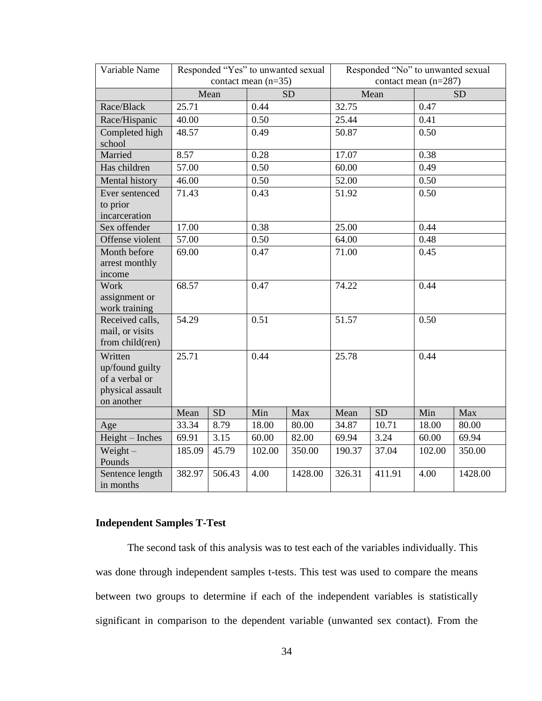| Variable Name                      | Responded "Yes" to unwanted sexual<br>Responded "No" to unwanted sexual |        |                       |           |        |           |                        |           |  |  |  |
|------------------------------------|-------------------------------------------------------------------------|--------|-----------------------|-----------|--------|-----------|------------------------|-----------|--|--|--|
|                                    |                                                                         |        | contact mean $(n=35)$ |           |        |           | contact mean $(n=287)$ |           |  |  |  |
|                                    |                                                                         | Mean   |                       | <b>SD</b> |        | Mean      |                        | <b>SD</b> |  |  |  |
| Race/Black                         | 25.71                                                                   |        | 0.44                  |           | 32.75  |           | 0.47                   |           |  |  |  |
| Race/Hispanic                      | 40.00                                                                   |        | 0.50                  |           | 25.44  |           | 0.41                   |           |  |  |  |
| Completed high<br>school           | 48.57                                                                   |        | 0.49                  |           | 50.87  |           | 0.50                   |           |  |  |  |
| Married                            | 8.57                                                                    |        | 0.28                  |           | 17.07  |           | 0.38                   |           |  |  |  |
| Has children                       | 57.00                                                                   |        | 0.50                  |           | 60.00  |           | 0.49                   |           |  |  |  |
| Mental history                     | 46.00                                                                   |        | 0.50                  |           | 52.00  |           | 0.50                   |           |  |  |  |
| Ever sentenced                     | 71.43                                                                   |        | 0.43                  |           | 51.92  |           | 0.50                   |           |  |  |  |
| to prior                           |                                                                         |        |                       |           |        |           |                        |           |  |  |  |
| incarceration                      |                                                                         |        |                       |           |        |           |                        |           |  |  |  |
| Sex offender                       | 17.00                                                                   |        | 0.38                  |           | 25.00  |           | 0.44                   |           |  |  |  |
| Offense violent                    | 57.00                                                                   |        | 0.50                  |           | 64.00  |           | 0.48                   |           |  |  |  |
| Month before                       | 69.00                                                                   |        | 0.47                  |           | 71.00  |           | 0.45                   |           |  |  |  |
| arrest monthly                     |                                                                         |        |                       |           |        |           |                        |           |  |  |  |
| income                             |                                                                         |        |                       |           |        |           |                        |           |  |  |  |
| Work                               | 68.57                                                                   |        | 0.47                  |           | 74.22  |           | 0.44                   |           |  |  |  |
| assignment or                      |                                                                         |        |                       |           |        |           |                        |           |  |  |  |
| work training                      |                                                                         |        |                       |           |        |           |                        |           |  |  |  |
| Received calls,                    | 54.29                                                                   |        | 0.51                  |           | 51.57  |           | 0.50                   |           |  |  |  |
| mail, or visits<br>from child(ren) |                                                                         |        |                       |           |        |           |                        |           |  |  |  |
|                                    |                                                                         |        |                       |           |        |           |                        |           |  |  |  |
| Written<br>up/found guilty         | 25.71                                                                   |        | 0.44                  |           | 25.78  |           | 0.44                   |           |  |  |  |
| of a verbal or                     |                                                                         |        |                       |           |        |           |                        |           |  |  |  |
| physical assault                   |                                                                         |        |                       |           |        |           |                        |           |  |  |  |
| on another                         |                                                                         |        |                       |           |        |           |                        |           |  |  |  |
|                                    | Mean                                                                    | SD     | Min                   | Max       | Mean   | <b>SD</b> | Min                    | Max       |  |  |  |
| Age                                | 33.34                                                                   | 8.79   | 18.00                 | 80.00     | 34.87  | 10.71     | 18.00                  | 80.00     |  |  |  |
| $Height - Inches$                  | 69.91                                                                   | 3.15   | 60.00                 | 82.00     | 69.94  | 3.24      | 60.00                  | 69.94     |  |  |  |
| Weight $-$                         | 185.09                                                                  | 45.79  | 102.00                | 350.00    | 190.37 | 37.04     | 102.00                 | 350.00    |  |  |  |
| Pounds                             |                                                                         |        |                       |           |        |           |                        |           |  |  |  |
| Sentence length<br>in months       | 382.97                                                                  | 506.43 | 4.00                  | 1428.00   | 326.31 | 411.91    | 4.00                   | 1428.00   |  |  |  |

# **Independent Samples T-Test**

The second task of this analysis was to test each of the variables individually. This was done through independent samples t-tests. This test was used to compare the means between two groups to determine if each of the independent variables is statistically significant in comparison to the dependent variable (unwanted sex contact). From the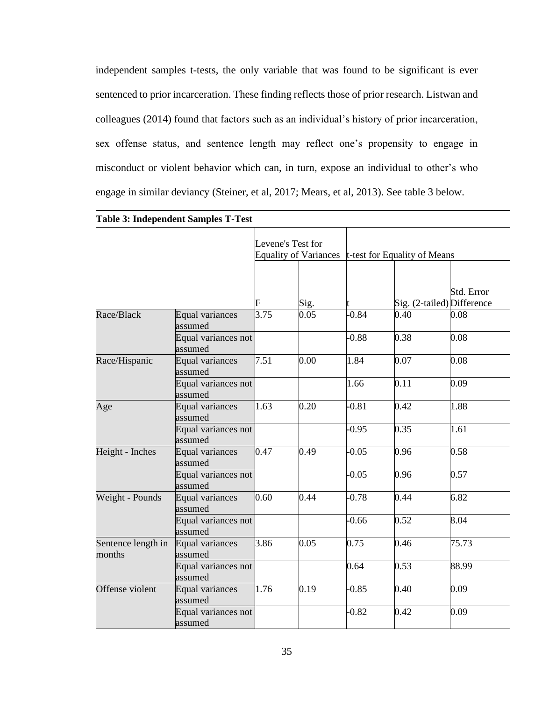independent samples t-tests, the only variable that was found to be significant is ever sentenced to prior incarceration. These finding reflects those of prior research. Listwan and colleagues (2014) found that factors such as an individual's history of prior incarceration, sex offense status, and sentence length may reflect one's propensity to engage in misconduct or violent behavior which can, in turn, expose an individual to other's who engage in similar deviancy (Steiner, et al, 2017; Mears, et al, 2013). See table 3 below.

|                              | <b>Table 3: Independent Samples T-Test</b> |      |                                                   |                              |                            |              |
|------------------------------|--------------------------------------------|------|---------------------------------------------------|------------------------------|----------------------------|--------------|
|                              |                                            |      | Levene's Test for<br><b>Equality of Variances</b> | t-test for Equality of Means |                            |              |
|                              |                                            | F    | Sig.                                              |                              | Sig. (2-tailed) Difference | Std. Error   |
| Race/Black                   | <b>Equal variances</b><br>assumed          | 3.75 | 0.05                                              | $-0.84$                      | 0.40                       | 0.08         |
|                              | Equal variances not<br>assumed             |      |                                                   | $-0.88$                      | 0.38                       | 0.08         |
| Race/Hispanic                | Equal variances<br>assumed                 | 7.51 | 0.00                                              | 1.84                         | 0.07                       | 0.08         |
|                              | Equal variances not<br>assumed             |      |                                                   | 1.66                         | 0.11                       | 0.09<br>1.88 |
| Age                          | Equal variances<br>assumed                 | 1.63 | 0.20                                              | $-0.81$                      | 0.42                       |              |
|                              | Equal variances not<br>assumed             |      |                                                   | $-0.95$                      | 0.35                       | 1.61         |
| Height - Inches              | <b>Equal variances</b><br>assumed          | 0.47 | 0.49                                              | $-0.05$                      | 0.96                       | 0.58         |
|                              | Equal variances not<br>assumed             |      |                                                   | $-0.05$                      | 0.96                       | 0.57         |
| Weight - Pounds              | <b>Equal variances</b><br>assumed          | 0.60 | 0.44                                              | $-0.78$                      | 0.44                       | 6.82         |
|                              | Equal variances not<br>assumed             |      |                                                   | $-0.66$                      | 0.52                       | 8.04         |
| Sentence length in<br>months | Equal variances<br>assumed                 | 3.86 | 0.05                                              | 0.75                         | 0.46                       | 75.73        |
|                              | Equal variances not<br>assumed             |      |                                                   | 0.64                         | 0.53                       | 88.99        |
| Offense violent              | <b>Equal variances</b><br>assumed          | 1.76 | 0.19                                              | $-0.85$                      | 0.40                       | 0.09         |
|                              | Equal variances not<br>assumed             |      |                                                   | $-0.82$                      | 0.42                       | 0.09         |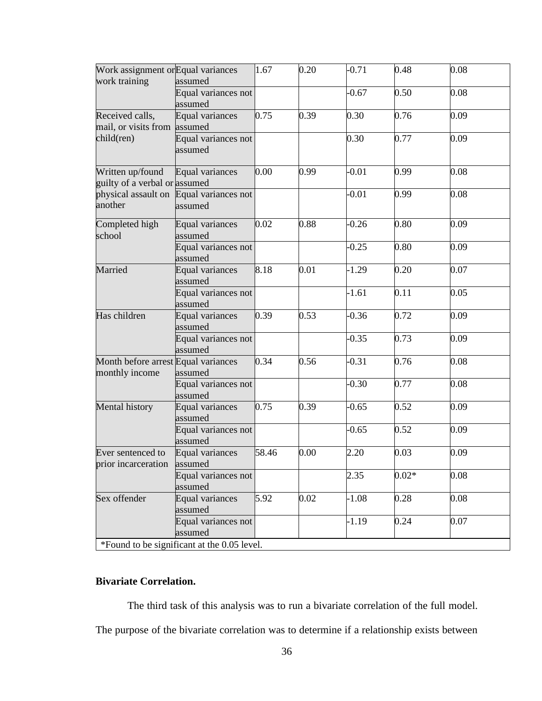| Work assignment or Equal variances                | assumed                                            | 1.67  | 0.20 | $-0.71$ | 0.48    | 0.08 |
|---------------------------------------------------|----------------------------------------------------|-------|------|---------|---------|------|
|                                                   | Equal variances not<br>assumed                     |       |      | $-0.67$ | 0.50    | 0.08 |
| Received calls,<br>mail, or visits from           | <b>Equal variances</b><br>assumed                  | 0.75  | 0.39 | 0.30    | 0.76    | 0.09 |
| child(ren)                                        | Equal variances not<br>assumed                     |       |      | 0.30    | 0.77    | 0.09 |
| Written up/found<br>guilty of a verbal or assumed | Equal variances                                    | 0.00  | 0.99 | $-0.01$ | 0.99    | 0.08 |
| work training<br>another                          | physical assault on Equal variances not<br>assumed |       |      | $-0.01$ | 0.99    | 0.08 |
| Completed high<br>school                          | Equal variances<br>assumed                         | 0.02  | 0.88 | $-0.26$ | 0.80    | 0.09 |
|                                                   | Equal variances not<br>assumed                     |       |      | $-0.25$ | 0.80    | 0.09 |
| Married                                           | <b>Equal variances</b><br>assumed                  | 8.18  | 0.01 | $-1.29$ | 0.20    | 0.07 |
|                                                   | Equal variances not<br>assumed                     |       |      | $-1.61$ | 0.11    | 0.05 |
| Has children                                      | Equal variances<br>assumed                         | 0.39  | 0.53 | $-0.36$ | 0.72    | 0.09 |
|                                                   | Equal variances not<br>assumed                     |       |      | $-0.35$ | 0.73    | 0.09 |
| Month before arrest<br>monthly income             | Equal variances<br>assumed                         | 0.34  | 0.56 | $-0.31$ | 0.76    | 0.08 |
|                                                   | Equal variances not<br>assumed                     |       |      | $-0.30$ | 0.77    | 0.08 |
| Mental history                                    | <b>Equal variances</b><br>assumed                  | 0.75  | 0.39 | $-0.65$ | 0.52    | 0.09 |
|                                                   | Equal variances not<br>assumed                     |       |      | $-0.65$ | 0.52    | 0.09 |
| Ever sentenced to<br>prior incarceration          | <b>Equal variances</b><br>assumed                  | 58.46 | 0.00 | 2.20    | 0.03    | 0.09 |
|                                                   | Equal variances not<br>assumed                     |       |      | 2.35    | $0.02*$ | 0.08 |
| Sex offender                                      | Equal variances<br>assumed                         | 5.92  | 0.02 | $-1.08$ | 0.28    | 0.08 |
|                                                   | Equal variances not<br>assumed                     |       |      | $-1.19$ | 0.24    | 0.07 |
|                                                   | *Found to be significant at the 0.05 level.        |       |      |         |         |      |

# **Bivariate Correlation.**

The third task of this analysis was to run a bivariate correlation of the full model.

The purpose of the bivariate correlation was to determine if a relationship exists between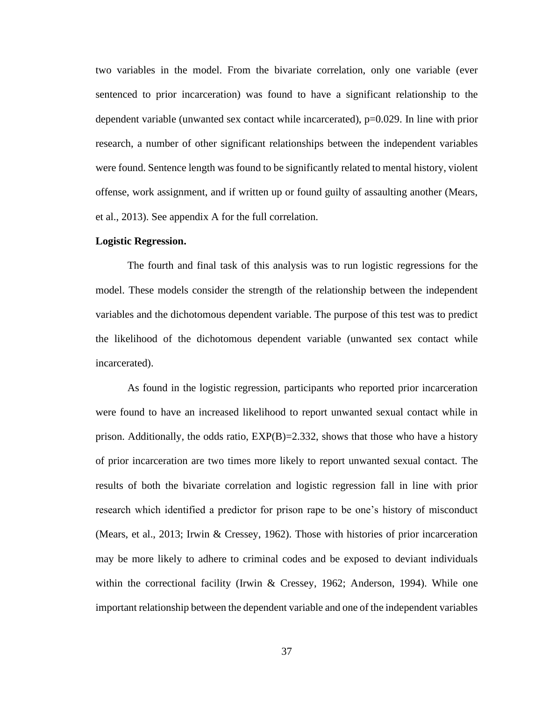two variables in the model. From the bivariate correlation, only one variable (ever sentenced to prior incarceration) was found to have a significant relationship to the dependent variable (unwanted sex contact while incarcerated), p=0.029. In line with prior research, a number of other significant relationships between the independent variables were found. Sentence length was found to be significantly related to mental history, violent offense, work assignment, and if written up or found guilty of assaulting another (Mears, et al., 2013). See appendix A for the full correlation.

#### **Logistic Regression.**

The fourth and final task of this analysis was to run logistic regressions for the model. These models consider the strength of the relationship between the independent variables and the dichotomous dependent variable. The purpose of this test was to predict the likelihood of the dichotomous dependent variable (unwanted sex contact while incarcerated).

As found in the logistic regression, participants who reported prior incarceration were found to have an increased likelihood to report unwanted sexual contact while in prison. Additionally, the odds ratio,  $EXP(B)=2.332$ , shows that those who have a history of prior incarceration are two times more likely to report unwanted sexual contact. The results of both the bivariate correlation and logistic regression fall in line with prior research which identified a predictor for prison rape to be one's history of misconduct (Mears, et al., 2013; Irwin & Cressey, 1962). Those with histories of prior incarceration may be more likely to adhere to criminal codes and be exposed to deviant individuals within the correctional facility (Irwin & Cressey, 1962; Anderson, 1994). While one important relationship between the dependent variable and one of the independent variables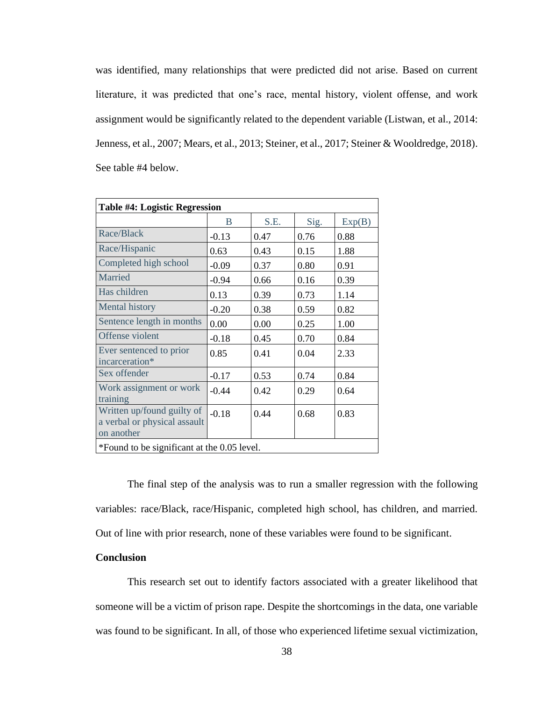was identified, many relationships that were predicted did not arise. Based on current literature, it was predicted that one's race, mental history, violent offense, and work assignment would be significantly related to the dependent variable (Listwan, et al., 2014: Jenness, et al., 2007; Mears, et al., 2013; Steiner, et al., 2017; Steiner & Wooldredge, 2018). See table #4 below.

| <b>Table #4: Logistic Regression</b>                                     |         |      |      |        |
|--------------------------------------------------------------------------|---------|------|------|--------|
|                                                                          | B       | S.E. | Sig. | Exp(B) |
| Race/Black                                                               | $-0.13$ | 0.47 | 0.76 | 0.88   |
| Race/Hispanic                                                            | 0.63    | 0.43 | 0.15 | 1.88   |
| Completed high school                                                    | $-0.09$ | 0.37 | 0.80 | 0.91   |
| Married                                                                  | $-0.94$ | 0.66 | 0.16 | 0.39   |
| Has children                                                             | 0.13    | 0.39 | 0.73 | 1.14   |
| <b>Mental history</b>                                                    | $-0.20$ | 0.38 | 0.59 | 0.82   |
| Sentence length in months                                                | 0.00    | 0.00 | 0.25 | 1.00   |
| Offense violent                                                          | $-0.18$ | 0.45 | 0.70 | 0.84   |
| Ever sentenced to prior<br>incarceration*                                | 0.85    | 0.41 | 0.04 | 2.33   |
| Sex offender                                                             | $-0.17$ | 0.53 | 0.74 | 0.84   |
| Work assignment or work<br>training                                      | $-0.44$ | 0.42 | 0.29 | 0.64   |
| Written up/found guilty of<br>a verbal or physical assault<br>on another | $-0.18$ | 0.44 | 0.68 | 0.83   |
| *Found to be significant at the 0.05 level.                              |         |      |      |        |

The final step of the analysis was to run a smaller regression with the following variables: race/Black, race/Hispanic, completed high school, has children, and married. Out of line with prior research, none of these variables were found to be significant.

# **Conclusion**

This research set out to identify factors associated with a greater likelihood that someone will be a victim of prison rape. Despite the shortcomings in the data, one variable was found to be significant. In all, of those who experienced lifetime sexual victimization,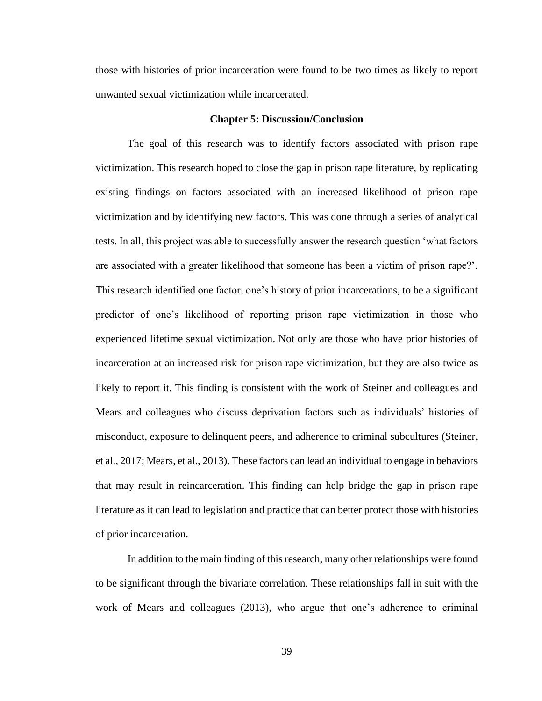those with histories of prior incarceration were found to be two times as likely to report unwanted sexual victimization while incarcerated.

#### **Chapter 5: Discussion/Conclusion**

The goal of this research was to identify factors associated with prison rape victimization. This research hoped to close the gap in prison rape literature, by replicating existing findings on factors associated with an increased likelihood of prison rape victimization and by identifying new factors. This was done through a series of analytical tests. In all, this project was able to successfully answer the research question 'what factors are associated with a greater likelihood that someone has been a victim of prison rape?'. This research identified one factor, one's history of prior incarcerations, to be a significant predictor of one's likelihood of reporting prison rape victimization in those who experienced lifetime sexual victimization. Not only are those who have prior histories of incarceration at an increased risk for prison rape victimization, but they are also twice as likely to report it. This finding is consistent with the work of Steiner and colleagues and Mears and colleagues who discuss deprivation factors such as individuals' histories of misconduct, exposure to delinquent peers, and adherence to criminal subcultures (Steiner, et al., 2017; Mears, et al., 2013). These factors can lead an individual to engage in behaviors that may result in reincarceration. This finding can help bridge the gap in prison rape literature as it can lead to legislation and practice that can better protect those with histories of prior incarceration.

In addition to the main finding of this research, many other relationships were found to be significant through the bivariate correlation. These relationships fall in suit with the work of Mears and colleagues (2013), who argue that one's adherence to criminal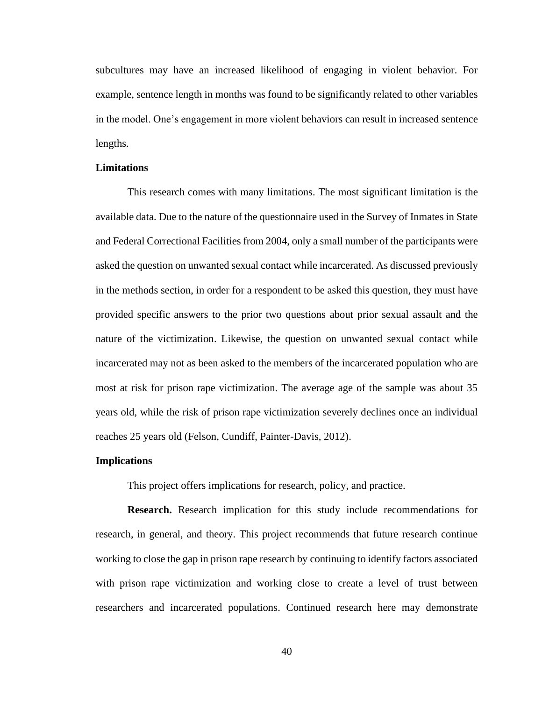subcultures may have an increased likelihood of engaging in violent behavior. For example, sentence length in months was found to be significantly related to other variables in the model. One's engagement in more violent behaviors can result in increased sentence lengths.

# **Limitations**

This research comes with many limitations. The most significant limitation is the available data. Due to the nature of the questionnaire used in the Survey of Inmates in State and Federal Correctional Facilities from 2004, only a small number of the participants were asked the question on unwanted sexual contact while incarcerated. As discussed previously in the methods section, in order for a respondent to be asked this question, they must have provided specific answers to the prior two questions about prior sexual assault and the nature of the victimization. Likewise, the question on unwanted sexual contact while incarcerated may not as been asked to the members of the incarcerated population who are most at risk for prison rape victimization. The average age of the sample was about 35 years old, while the risk of prison rape victimization severely declines once an individual reaches 25 years old (Felson, Cundiff, Painter-Davis, 2012).

#### **Implications**

This project offers implications for research, policy, and practice.

**Research.** Research implication for this study include recommendations for research, in general, and theory. This project recommends that future research continue working to close the gap in prison rape research by continuing to identify factors associated with prison rape victimization and working close to create a level of trust between researchers and incarcerated populations. Continued research here may demonstrate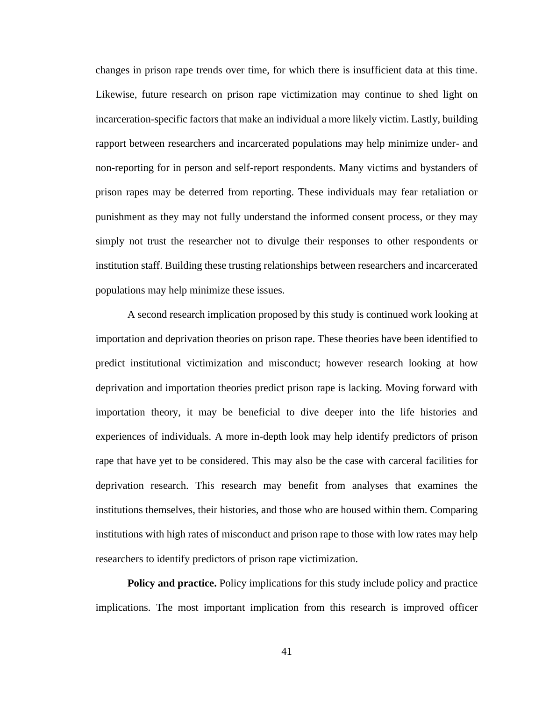changes in prison rape trends over time, for which there is insufficient data at this time. Likewise, future research on prison rape victimization may continue to shed light on incarceration-specific factors that make an individual a more likely victim. Lastly, building rapport between researchers and incarcerated populations may help minimize under- and non-reporting for in person and self-report respondents. Many victims and bystanders of prison rapes may be deterred from reporting. These individuals may fear retaliation or punishment as they may not fully understand the informed consent process, or they may simply not trust the researcher not to divulge their responses to other respondents or institution staff. Building these trusting relationships between researchers and incarcerated populations may help minimize these issues.

A second research implication proposed by this study is continued work looking at importation and deprivation theories on prison rape. These theories have been identified to predict institutional victimization and misconduct; however research looking at how deprivation and importation theories predict prison rape is lacking. Moving forward with importation theory, it may be beneficial to dive deeper into the life histories and experiences of individuals. A more in-depth look may help identify predictors of prison rape that have yet to be considered. This may also be the case with carceral facilities for deprivation research. This research may benefit from analyses that examines the institutions themselves, their histories, and those who are housed within them. Comparing institutions with high rates of misconduct and prison rape to those with low rates may help researchers to identify predictors of prison rape victimization.

**Policy and practice.** Policy implications for this study include policy and practice implications. The most important implication from this research is improved officer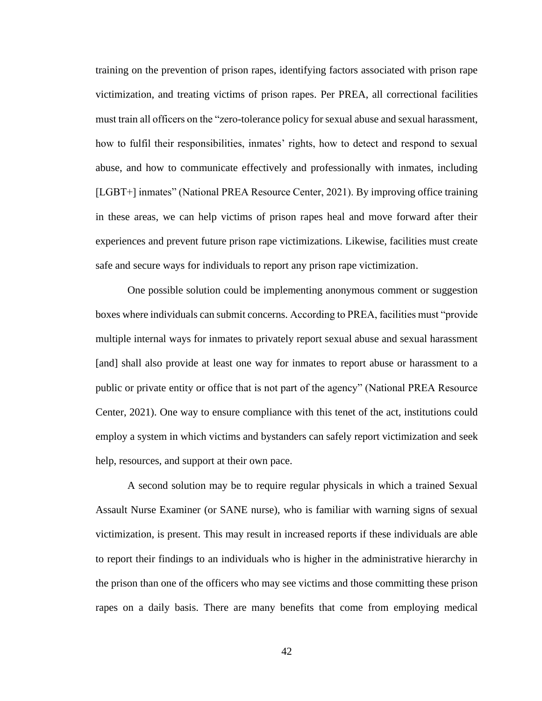training on the prevention of prison rapes, identifying factors associated with prison rape victimization, and treating victims of prison rapes. Per PREA, all correctional facilities must train all officers on the "zero-tolerance policy for sexual abuse and sexual harassment, how to fulfil their responsibilities, inmates' rights, how to detect and respond to sexual abuse, and how to communicate effectively and professionally with inmates, including [LGBT+] inmates" (National PREA Resource Center, 2021). By improving office training in these areas, we can help victims of prison rapes heal and move forward after their experiences and prevent future prison rape victimizations. Likewise, facilities must create safe and secure ways for individuals to report any prison rape victimization.

One possible solution could be implementing anonymous comment or suggestion boxes where individuals can submit concerns. According to PREA, facilities must "provide multiple internal ways for inmates to privately report sexual abuse and sexual harassment [and] shall also provide at least one way for inmates to report abuse or harassment to a public or private entity or office that is not part of the agency" (National PREA Resource Center, 2021). One way to ensure compliance with this tenet of the act, institutions could employ a system in which victims and bystanders can safely report victimization and seek help, resources, and support at their own pace.

A second solution may be to require regular physicals in which a trained Sexual Assault Nurse Examiner (or SANE nurse), who is familiar with warning signs of sexual victimization, is present. This may result in increased reports if these individuals are able to report their findings to an individuals who is higher in the administrative hierarchy in the prison than one of the officers who may see victims and those committing these prison rapes on a daily basis. There are many benefits that come from employing medical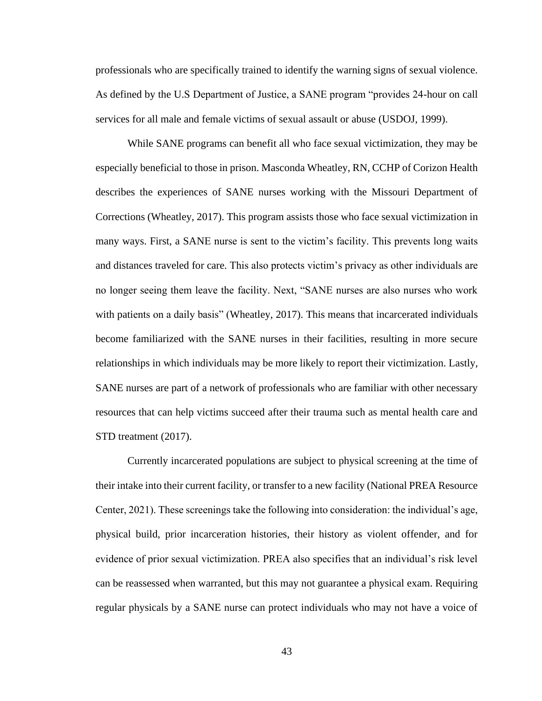professionals who are specifically trained to identify the warning signs of sexual violence. As defined by the U.S Department of Justice, a SANE program "provides 24-hour on call services for all male and female victims of sexual assault or abuse (USDOJ, 1999).

While SANE programs can benefit all who face sexual victimization, they may be especially beneficial to those in prison. Masconda Wheatley, RN, CCHP of Corizon Health describes the experiences of SANE nurses working with the Missouri Department of Corrections (Wheatley, 2017). This program assists those who face sexual victimization in many ways. First, a SANE nurse is sent to the victim's facility. This prevents long waits and distances traveled for care. This also protects victim's privacy as other individuals are no longer seeing them leave the facility. Next, "SANE nurses are also nurses who work with patients on a daily basis" (Wheatley, 2017). This means that incarcerated individuals become familiarized with the SANE nurses in their facilities, resulting in more secure relationships in which individuals may be more likely to report their victimization. Lastly, SANE nurses are part of a network of professionals who are familiar with other necessary resources that can help victims succeed after their trauma such as mental health care and STD treatment (2017).

Currently incarcerated populations are subject to physical screening at the time of their intake into their current facility, or transfer to a new facility (National PREA Resource Center, 2021). These screenings take the following into consideration: the individual's age, physical build, prior incarceration histories, their history as violent offender, and for evidence of prior sexual victimization. PREA also specifies that an individual's risk level can be reassessed when warranted, but this may not guarantee a physical exam. Requiring regular physicals by a SANE nurse can protect individuals who may not have a voice of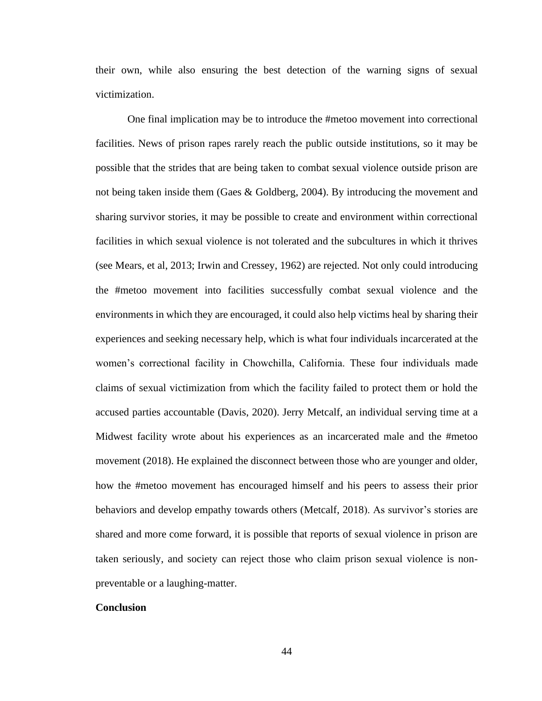their own, while also ensuring the best detection of the warning signs of sexual victimization.

One final implication may be to introduce the #metoo movement into correctional facilities. News of prison rapes rarely reach the public outside institutions, so it may be possible that the strides that are being taken to combat sexual violence outside prison are not being taken inside them (Gaes & Goldberg, 2004). By introducing the movement and sharing survivor stories, it may be possible to create and environment within correctional facilities in which sexual violence is not tolerated and the subcultures in which it thrives (see Mears, et al, 2013; Irwin and Cressey, 1962) are rejected. Not only could introducing the #metoo movement into facilities successfully combat sexual violence and the environments in which they are encouraged, it could also help victims heal by sharing their experiences and seeking necessary help, which is what four individuals incarcerated at the women's correctional facility in Chowchilla, California. These four individuals made claims of sexual victimization from which the facility failed to protect them or hold the accused parties accountable (Davis, 2020). Jerry Metcalf, an individual serving time at a Midwest facility wrote about his experiences as an incarcerated male and the #metoo movement (2018). He explained the disconnect between those who are younger and older, how the #metoo movement has encouraged himself and his peers to assess their prior behaviors and develop empathy towards others (Metcalf, 2018). As survivor's stories are shared and more come forward, it is possible that reports of sexual violence in prison are taken seriously, and society can reject those who claim prison sexual violence is nonpreventable or a laughing-matter.

### **Conclusion**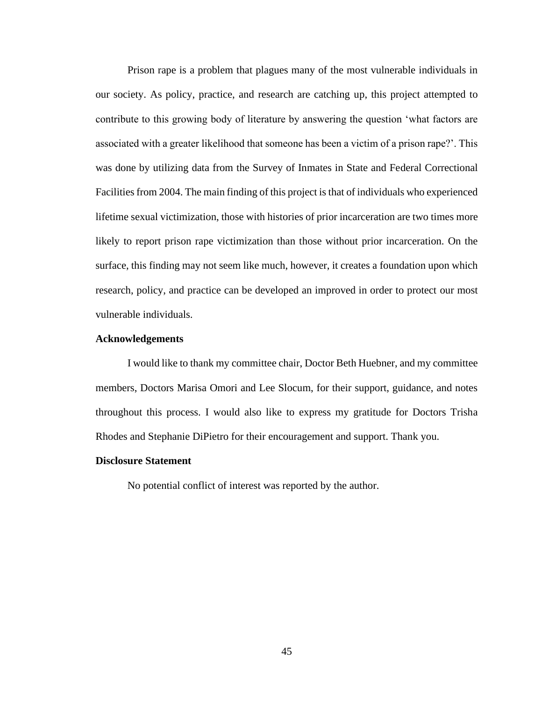Prison rape is a problem that plagues many of the most vulnerable individuals in our society. As policy, practice, and research are catching up, this project attempted to contribute to this growing body of literature by answering the question 'what factors are associated with a greater likelihood that someone has been a victim of a prison rape?'. This was done by utilizing data from the Survey of Inmates in State and Federal Correctional Facilities from 2004. The main finding of this project is that of individuals who experienced lifetime sexual victimization, those with histories of prior incarceration are two times more likely to report prison rape victimization than those without prior incarceration. On the surface, this finding may not seem like much, however, it creates a foundation upon which research, policy, and practice can be developed an improved in order to protect our most vulnerable individuals.

# **Acknowledgements**

I would like to thank my committee chair, Doctor Beth Huebner, and my committee members, Doctors Marisa Omori and Lee Slocum, for their support, guidance, and notes throughout this process. I would also like to express my gratitude for Doctors Trisha Rhodes and Stephanie DiPietro for their encouragement and support. Thank you.

#### **Disclosure Statement**

No potential conflict of interest was reported by the author.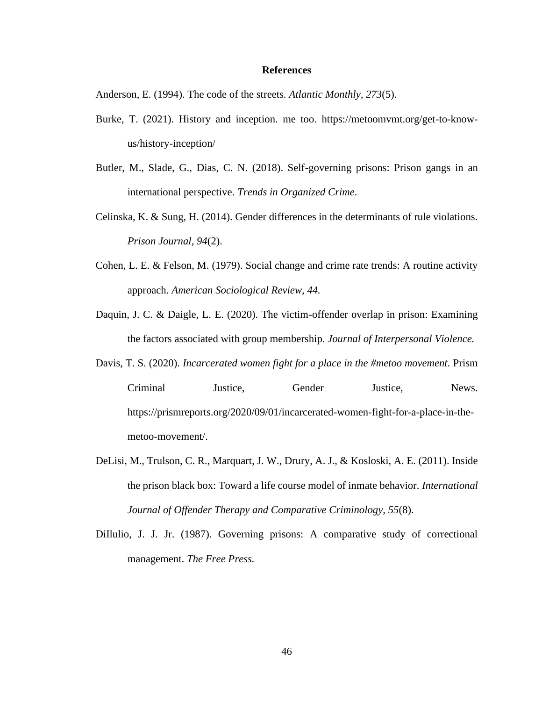### **References**

Anderson, E. (1994). The code of the streets. *Atlantic Monthly, 273*(5).

- Burke, T. (2021). History and inception. me too. https://metoomvmt.org/get-to-knowus/history-inception/
- Butler, M., Slade, G., Dias, C. N. (2018). Self-governing prisons: Prison gangs in an international perspective. *Trends in Organized Crime*.
- Celinska, K. & Sung, H. (2014). Gender differences in the determinants of rule violations. *Prison Journal, 94*(2).
- Cohen, L. E. & Felson, M. (1979). Social change and crime rate trends: A routine activity approach. *American Sociological Review, 44.*
- Daquin, J. C. & Daigle, L. E. (2020). The victim-offender overlap in prison: Examining the factors associated with group membership. *Journal of Interpersonal Violence.*
- Davis, T. S. (2020). *Incarcerated women fight for a place in the #metoo movement*. Prism Criminal Justice, Gender Justice, News. https://prismreports.org/2020/09/01/incarcerated-women-fight-for-a-place-in-themetoo-movement/.
- DeLisi, M., Trulson, C. R., Marquart, J. W., Drury, A. J., & Kosloski, A. E. (2011). Inside the prison black box: Toward a life course model of inmate behavior. *International Journal of Offender Therapy and Comparative Criminology, 55*(8).
- DiIlulio, J. J. Jr. (1987). Governing prisons: A comparative study of correctional management. *The Free Press.*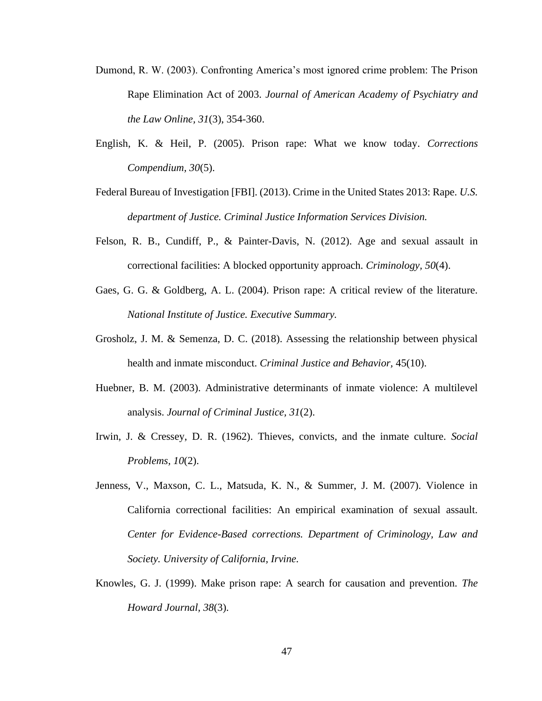- Dumond, R. W. (2003). Confronting America's most ignored crime problem: The Prison Rape Elimination Act of 2003. *Journal of American Academy of Psychiatry and the Law Online, 31*(3), 354-360.
- English, K. & Heil, P. (2005). Prison rape: What we know today. *Corrections Compendium, 30*(5).
- Federal Bureau of Investigation [FBI]. (2013). Crime in the United States 2013: Rape. *U.S. department of Justice. Criminal Justice Information Services Division.*
- Felson, R. B., Cundiff, P., & Painter-Davis, N. (2012). Age and sexual assault in correctional facilities: A blocked opportunity approach. *Criminology, 50*(4).
- Gaes, G. G. & Goldberg, A. L. (2004). Prison rape: A critical review of the literature. *National Institute of Justice. Executive Summary.*
- Grosholz, J. M. & Semenza, D. C. (2018). Assessing the relationship between physical health and inmate misconduct. *Criminal Justice and Behavior,* 45(10).
- Huebner, B. M. (2003). Administrative determinants of inmate violence: A multilevel analysis. *Journal of Criminal Justice, 31*(2).
- Irwin, J. & Cressey, D. R. (1962). Thieves, convicts, and the inmate culture. *Social Problems, 10*(2).
- Jenness, V., Maxson, C. L., Matsuda, K. N., & Summer, J. M. (2007). Violence in California correctional facilities: An empirical examination of sexual assault. *Center for Evidence-Based corrections. Department of Criminology, Law and Society. University of California, Irvine.*
- Knowles, G. J. (1999). Make prison rape: A search for causation and prevention. *The Howard Journal, 38*(3).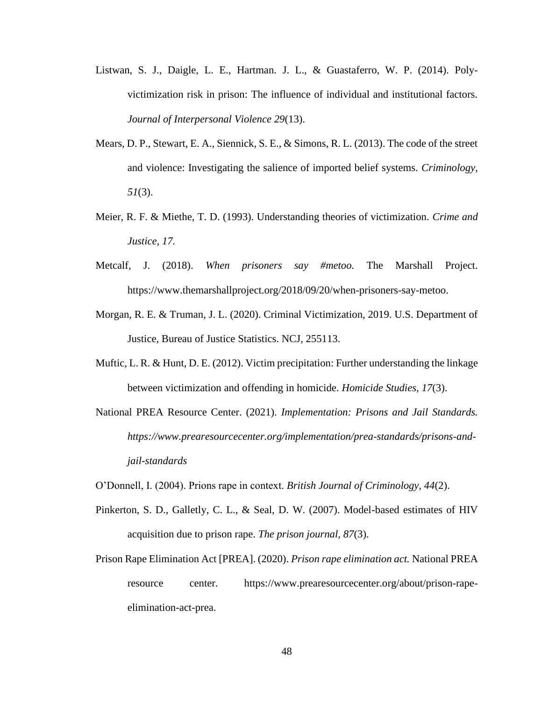- Listwan, S. J., Daigle, L. E., Hartman. J. L., & Guastaferro, W. P. (2014). Polyvictimization risk in prison: The influence of individual and institutional factors. *Journal of Interpersonal Violence 29*(13).
- Mears, D. P., Stewart, E. A., Siennick, S. E., & Simons, R. L. (2013). The code of the street and violence: Investigating the salience of imported belief systems. *Criminology, 51*(3).
- Meier, R. F. & Miethe, T. D. (1993). Understanding theories of victimization. *Crime and Justice, 17.*
- Metcalf, J. (2018). *When prisoners say #metoo.* The Marshall Project. https://www.themarshallproject.org/2018/09/20/when-prisoners-say-metoo.
- Morgan, R. E. & Truman, J. L. (2020). Criminal Victimization, 2019. U.S. Department of Justice, Bureau of Justice Statistics. NCJ, 255113.
- Muftic, L. R. & Hunt, D. E. (2012). Victim precipitation: Further understanding the linkage between victimization and offending in homicide. *Homicide Studies, 17*(3).
- National PREA Resource Center. (2021). *Implementation: Prisons and Jail Standards. https://www.prearesourcecenter.org/implementation/prea-standards/prisons-andjail-standards*
- O'Donnell, I. (2004). Prions rape in context. *British Journal of Criminology, 44*(2).
- Pinkerton, S. D., Galletly, C. L., & Seal, D. W. (2007). Model-based estimates of HIV acquisition due to prison rape. *The prison journal, 87*(3).
- Prison Rape Elimination Act [PREA]. (2020). *Prison rape elimination act.* National PREA resource center. https://www.prearesourcecenter.org/about/prison-rapeelimination-act-prea.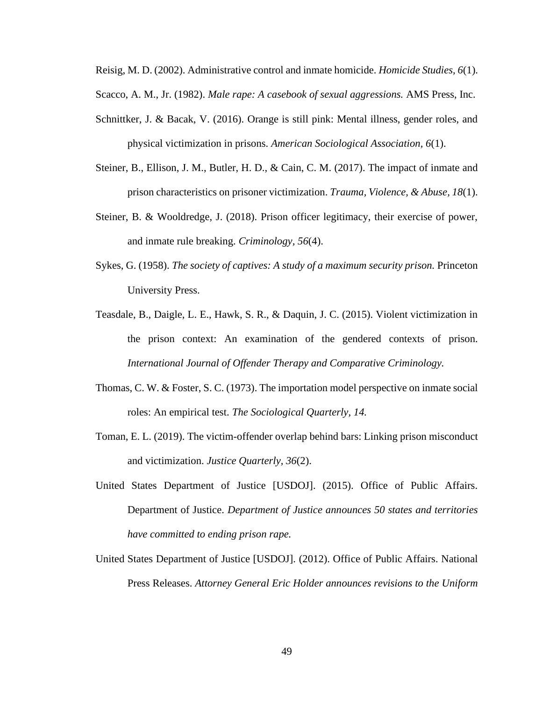Reisig, M. D. (2002). Administrative control and inmate homicide. *Homicide Studies, 6*(1).

Scacco, A. M., Jr. (1982). *Male rape: A casebook of sexual aggressions.* AMS Press, Inc.

- Schnittker, J. & Bacak, V. (2016). Orange is still pink: Mental illness, gender roles, and physical victimization in prisons. *American Sociological Association, 6*(1).
- Steiner, B., Ellison, J. M., Butler, H. D., & Cain, C. M. (2017). The impact of inmate and prison characteristics on prisoner victimization. *Trauma, Violence, & Abuse, 18*(1).
- Steiner, B. & Wooldredge, J. (2018). Prison officer legitimacy, their exercise of power, and inmate rule breaking. *Criminology, 56*(4).
- Sykes, G. (1958). *The society of captives: A study of a maximum security prison.* Princeton University Press.
- Teasdale, B., Daigle, L. E., Hawk, S. R., & Daquin, J. C. (2015). Violent victimization in the prison context: An examination of the gendered contexts of prison. *International Journal of Offender Therapy and Comparative Criminology.*
- Thomas, C. W. & Foster, S. C. (1973). The importation model perspective on inmate social roles: An empirical test. *The Sociological Quarterly, 14.*
- Toman, E. L. (2019). The victim-offender overlap behind bars: Linking prison misconduct and victimization. *Justice Quarterly, 36*(2).
- United States Department of Justice [USDOJ]. (2015). Office of Public Affairs. Department of Justice. *Department of Justice announces 50 states and territories have committed to ending prison rape.*
- United States Department of Justice [USDOJ]. (2012). Office of Public Affairs. National Press Releases. *Attorney General Eric Holder announces revisions to the Uniform*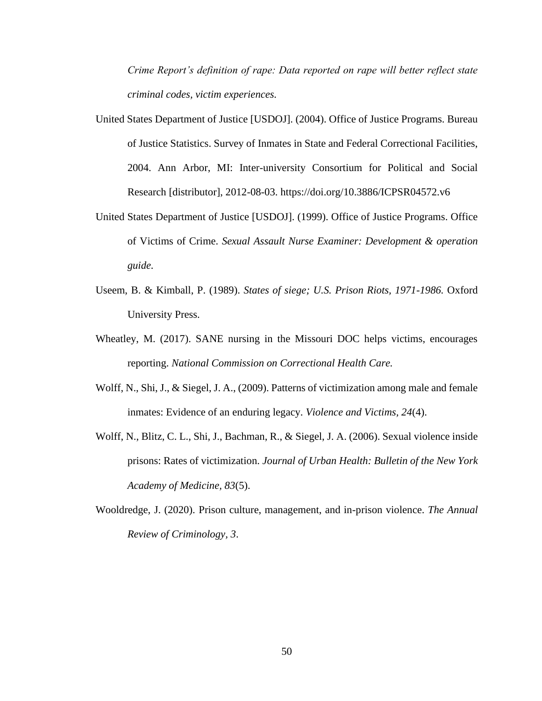*Crime Report's definition of rape: Data reported on rape will better reflect state criminal codes, victim experiences.*

- United States Department of Justice [USDOJ]. (2004). Office of Justice Programs. Bureau of Justice Statistics. Survey of Inmates in State and Federal Correctional Facilities, 2004. Ann Arbor, MI: Inter-university Consortium for Political and Social Research [distributor], 2012-08-03. https://doi.org/10.3886/ICPSR04572.v6
- United States Department of Justice [USDOJ]. (1999). Office of Justice Programs. Office of Victims of Crime. *Sexual Assault Nurse Examiner: Development & operation guide.*
- Useem, B. & Kimball, P. (1989). *States of siege; U.S. Prison Riots, 1971-1986.* Oxford University Press.
- Wheatley, M. (2017). SANE nursing in the Missouri DOC helps victims, encourages reporting. *National Commission on Correctional Health Care.*
- Wolff, N., Shi, J., & Siegel, J. A., (2009). Patterns of victimization among male and female inmates: Evidence of an enduring legacy. *Violence and Victims, 24*(4).
- Wolff, N., Blitz, C. L., Shi, J., Bachman, R., & Siegel, J. A. (2006). Sexual violence inside prisons: Rates of victimization. *Journal of Urban Health: Bulletin of the New York Academy of Medicine, 83*(5).
- Wooldredge, J. (2020). Prison culture, management, and in-prison violence. *The Annual Review of Criminology, 3*.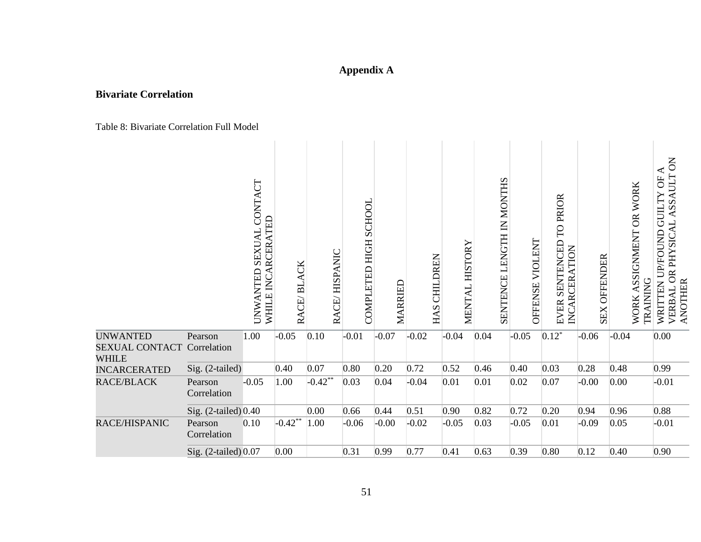# **Appendix A**

# **Bivariate Correlation**

Table 8: Bivariate Correlation Full Model

|                                                                      |                        | CONTACT<br><b>RCERATED</b><br><b>SEXUAL</b><br>INCAI<br><b>UNWANTED</b><br>WHILE | RACE/BLACK | RACE/HISPANIC | COMPLETED HIGH SCHOOL | MARRIED | <b>CHILDREN</b><br>HAS | MENTAL HISTORY | LENGTH IN MONTHS<br><b>SENTENCE</b> | VIOLENT<br>OFFENSE | TO PRIOR<br>SENTENCED<br>INCARCERATION<br><b>EVER</b> | <b>OFFENDER</b><br>SEX | WORK ASSIGNMENT OR WORK<br><b>TRAINING</b> | $\overline{S}$<br>≺<br><b>ASSAULT</b><br>ö<br>WRITTEN UP/FOUND GUILTY<br>OR PHYSICAL<br><b>ANOTHER</b><br>VERBAL |
|----------------------------------------------------------------------|------------------------|----------------------------------------------------------------------------------|------------|---------------|-----------------------|---------|------------------------|----------------|-------------------------------------|--------------------|-------------------------------------------------------|------------------------|--------------------------------------------|------------------------------------------------------------------------------------------------------------------|
| <b>UNWANTED</b><br><b>SEXUAL CONTACT Correlation</b><br><b>WHILE</b> | Pearson                | 1.00                                                                             | $-0.05$    | 0.10          | $-0.01$               | $-0.07$ | $-0.02$                | $-0.04$        | 0.04                                | $-0.05$            | $0.12*$                                               | $-0.06$                | $-0.04$                                    | 0.00                                                                                                             |
| <b>INCARCERATED</b>                                                  | Sig. (2-tailed)        |                                                                                  | 0.40       | 0.07          | 0.80                  | 0.20    | 0.72                   | 0.52           | 0.46                                | 0.40               | 0.03                                                  | 0.28                   | 0.48                                       | 0.99                                                                                                             |
| <b>RACE/BLACK</b>                                                    | Pearson<br>Correlation | $-0.05$                                                                          | 1.00       | $-0.42**$     | 0.03                  | 0.04    | $-0.04$                | 0.01           | 0.01                                | 0.02               | 0.07                                                  | $-0.00$                | 0.00                                       | $-0.01$                                                                                                          |
|                                                                      | Sig. (2-tailed) 0.40   |                                                                                  |            | 0.00          | 0.66                  | 0.44    | 0.51                   | 0.90           | 0.82                                | 0.72               | 0.20                                                  | 0.94                   | 0.96                                       | 0.88                                                                                                             |
| RACE/HISPANIC                                                        | Pearson<br>Correlation | 0.10                                                                             | $-0.42**$  | 1.00          | $-0.06$               | $-0.00$ | $-0.02$                | $-0.05$        | 0.03                                | $-0.05$            | 0.01                                                  | $-0.09$                | 0.05                                       | $-0.01$                                                                                                          |
|                                                                      | Sig. (2-tailed) 0.07   |                                                                                  | 0.00       |               | 0.31                  | 0.99    | 0.77                   | 0.41           | 0.63                                | 0.39               | 0.80                                                  | 0.12                   | 0.40                                       | 0.90                                                                                                             |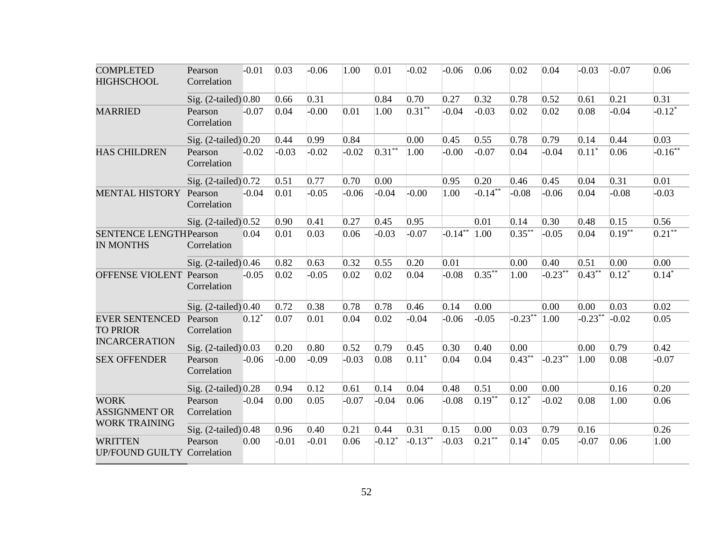| <b>COMPLETED</b><br><b>HIGHSCHOOL</b>                            | Pearson<br>Correlation | $-0.01$ | 0.03    | $-0.06$ | 1.00    | 0.01      | $-0.02$    | $-0.06$        | 0.06       | 0.02       | 0.04       | $-0.03$   | $-0.07$   | 0.06                   |
|------------------------------------------------------------------|------------------------|---------|---------|---------|---------|-----------|------------|----------------|------------|------------|------------|-----------|-----------|------------------------|
|                                                                  | Sig. (2-tailed) 0.80   |         | 0.66    | 0.31    |         | 0.84      | 0.70       | 0.27           | 0.32       | 0.78       | 0.52       | 0.61      | 0.21      | 0.31                   |
| <b>MARRIED</b>                                                   | Pearson<br>Correlation | $-0.07$ | 0.04    | $-0.00$ | 0.01    | 1.00      | $0.31**$   | $-0.04$        | $-0.03$    | 0.02       | 0.02       | 0.08      | $-0.04$   | $-0.12*$               |
|                                                                  | Sig. (2-tailed) 0.20   |         | 0.44    | 0.99    | 0.84    |           | 0.00       | 0.45           | 0.55       | 0.78       | 0.79       | 0.14      | 0.44      | 0.03                   |
| <b>HAS CHILDREN</b>                                              | Pearson<br>Correlation | $-0.02$ | $-0.03$ | $-0.02$ | $-0.02$ | $0.31***$ | 1.00       | $-0.00$        | $-0.07$    | 0.04       | $-0.04$    | $0.11*$   | 0.06      | $-0.16***$             |
|                                                                  | Sig. (2-tailed) 0.72   |         | 0.51    | 0.77    | 0.70    | 0.00      |            | 0.95           | 0.20       | 0.46       | 0.45       | 0.04      | 0.31      | 0.01                   |
| <b>MENTAL HISTORY</b>                                            | Pearson<br>Correlation | $-0.04$ | 0.01    | $-0.05$ | $-0.06$ | $-0.04$   | $-0.00$    | 1.00           | $-0.14***$ | $-0.08$    | $-0.06$    | 0.04      | $-0.08$   | $-0.03$                |
|                                                                  | Sig. (2-tailed) 0.52   |         | 0.90    | 0.41    | 0.27    | 0.45      | 0.95       |                | 0.01       | 0.14       | 0.30       | 0.48      | 0.15      | 0.56                   |
| <b>SENTENCE LENGTHPearson</b><br><b>IN MONTHS</b>                | Correlation            | 0.04    | 0.01    | 0.03    | 0.06    | $-0.03$   | $-0.07$    | $-0.14**$ 1.00 |            | $0.35***$  | $-0.05$    | 0.04      | $0.19***$ | $\overline{0.21}^{**}$ |
|                                                                  | Sig. (2-tailed) 0.46   |         | 0.82    | 0.63    | 0.32    | 0.55      | 0.20       | 0.01           |            | 0.00       | 0.40       | 0.51      | 0.00      | 0.00                   |
| OFFENSE VIOLENT                                                  | Pearson<br>Correlation | $-0.05$ | 0.02    | $-0.05$ | 0.02    | 0.02      | 0.04       | $-0.08$        | $0.35***$  | 1.00       | $-0.23***$ | $0.43***$ | $0.12*$   | $0.14*$                |
|                                                                  | Sig. (2-tailed) 0.40   |         | 0.72    | 0.38    | 0.78    | 0.78      | 0.46       | 0.14           | 0.00       |            | 0.00       | 0.00      | 0.03      | 0.02                   |
| <b>EVER SENTENCED</b><br><b>TO PRIOR</b><br><b>INCARCERATION</b> | Pearson<br>Correlation | $0.12*$ | 0.07    | 0.01    | 0.04    | 0.02      | $-0.04$    | $-0.06$        | $-0.05$    | $-0.23***$ | 1.00       | $-0.23**$ | $-0.02$   | 0.05                   |
|                                                                  | Sig. (2-tailed) 0.03   |         | 0.20    | 0.80    | 0.52    | 0.79      | 0.45       | 0.30           | 0.40       | 0.00       |            | 0.00      | 0.79      | 0.42                   |
| <b>SEX OFFENDER</b>                                              | Pearson<br>Correlation | $-0.06$ | $-0.00$ | $-0.09$ | $-0.03$ | 0.08      | $0.11*$    | 0.04           | 0.04       | $0.43**$   | $-0.23***$ | 1.00      | 0.08      | $-0.07$                |
|                                                                  | Sig. (2-tailed) 0.28   |         | 0.94    | 0.12    | 0.61    | 0.14      | 0.04       | 0.48           | 0.51       | 0.00       | 0.00       |           | 0.16      | 0.20                   |
| <b>WORK</b><br><b>ASSIGNMENT OR</b>                              | Pearson<br>Correlation | $-0.04$ | 0.00    | 0.05    | $-0.07$ | $-0.04$   | 0.06       | $-0.08$        | $0.19***$  | $0.12*$    | $-0.02$    | 0.08      | 1.00      | 0.06                   |
| <b>WORK TRAINING</b>                                             | Sig. (2-tailed) 0.48   |         | 0.96    | 0.40    | 0.21    | 0.44      | 0.31       | 0.15           | 0.00       | 0.03       | 0.79       | 0.16      |           | 0.26                   |
| <b>WRITTEN</b><br><b>UP/FOUND GUILTY Correlation</b>             | Pearson                | 0.00    | $-0.01$ | $-0.01$ | 0.06    | $-0.12*$  | $-0.13***$ | $-0.03$        | $0.21***$  | $0.14*$    | 0.05       | $-0.07$   | 0.06      | 1.00                   |